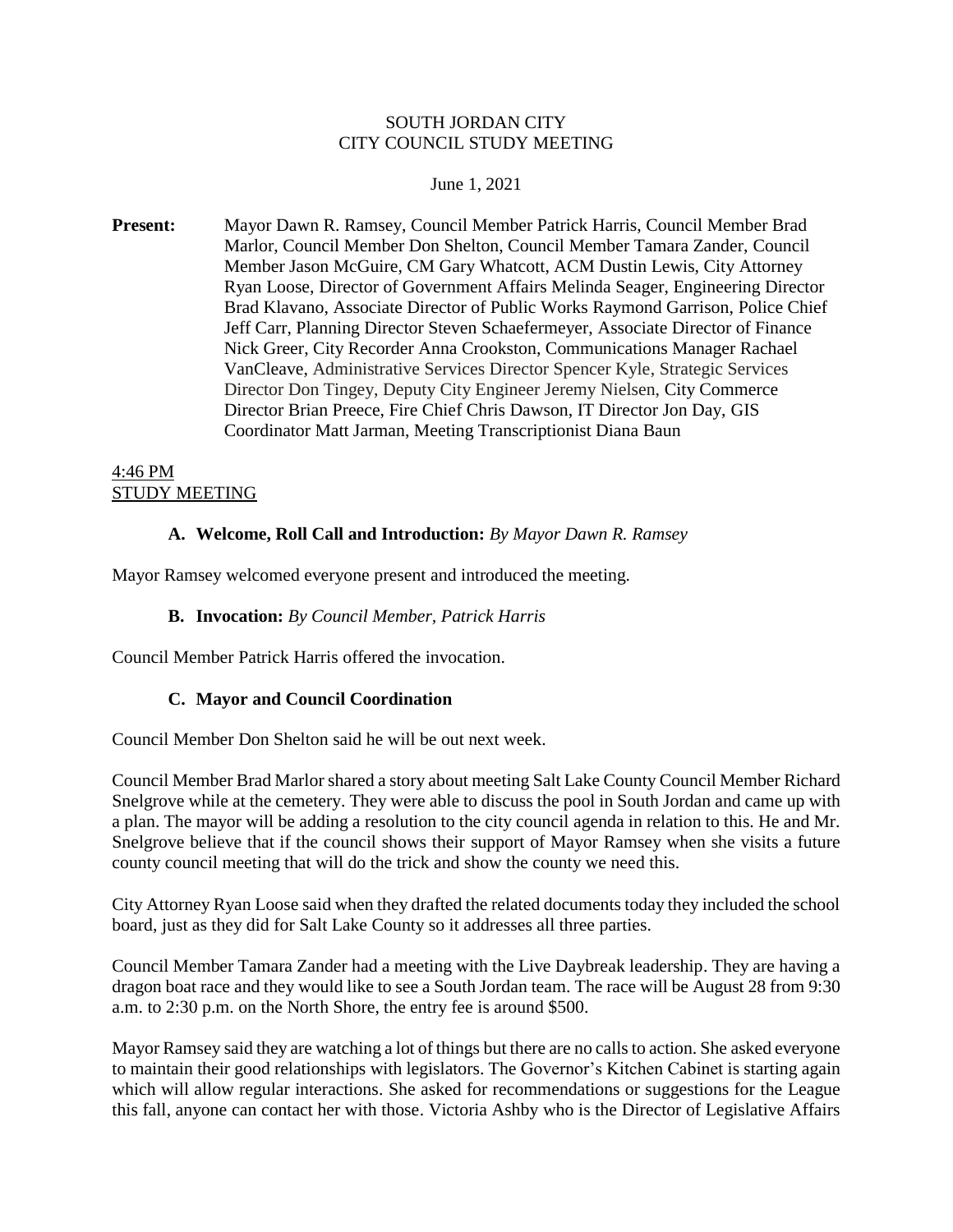#### SOUTH JORDAN CITY CITY COUNCIL STUDY MEETING

#### June 1, 2021

**Present:** Mayor Dawn R. Ramsey, Council Member Patrick Harris, Council Member Brad Marlor, Council Member Don Shelton, Council Member Tamara Zander, Council Member Jason McGuire, CM Gary Whatcott, ACM Dustin Lewis, City Attorney Ryan Loose, Director of Government Affairs Melinda Seager, Engineering Director Brad Klavano, Associate Director of Public Works Raymond Garrison, Police Chief Jeff Carr, Planning Director Steven Schaefermeyer, Associate Director of Finance Nick Greer, City Recorder Anna Crookston, Communications Manager Rachael VanCleave, Administrative Services Director Spencer Kyle, Strategic Services Director Don Tingey, Deputy City Engineer Jeremy Nielsen, City Commerce Director Brian Preece, Fire Chief Chris Dawson, IT Director Jon Day, GIS Coordinator Matt Jarman, Meeting Transcriptionist Diana Baun

#### 4:46 PM STUDY MEETING

#### **A. Welcome, Roll Call and Introduction:** *By Mayor Dawn R. Ramsey*

Mayor Ramsey welcomed everyone present and introduced the meeting.

#### **B. Invocation:** *By Council Member, Patrick Harris*

Council Member Patrick Harris offered the invocation.

#### **C. Mayor and Council Coordination**

Council Member Don Shelton said he will be out next week.

Council Member Brad Marlor shared a story about meeting Salt Lake County Council Member Richard Snelgrove while at the cemetery. They were able to discuss the pool in South Jordan and came up with a plan. The mayor will be adding a resolution to the city council agenda in relation to this. He and Mr. Snelgrove believe that if the council shows their support of Mayor Ramsey when she visits a future county council meeting that will do the trick and show the county we need this.

City Attorney Ryan Loose said when they drafted the related documents today they included the school board, just as they did for Salt Lake County so it addresses all three parties.

Council Member Tamara Zander had a meeting with the Live Daybreak leadership. They are having a dragon boat race and they would like to see a South Jordan team. The race will be August 28 from 9:30 a.m. to 2:30 p.m. on the North Shore, the entry fee is around \$500.

Mayor Ramsey said they are watching a lot of things but there are no calls to action. She asked everyone to maintain their good relationships with legislators. The Governor's Kitchen Cabinet is starting again which will allow regular interactions. She asked for recommendations or suggestions for the League this fall, anyone can contact her with those. Victoria Ashby who is the Director of Legislative Affairs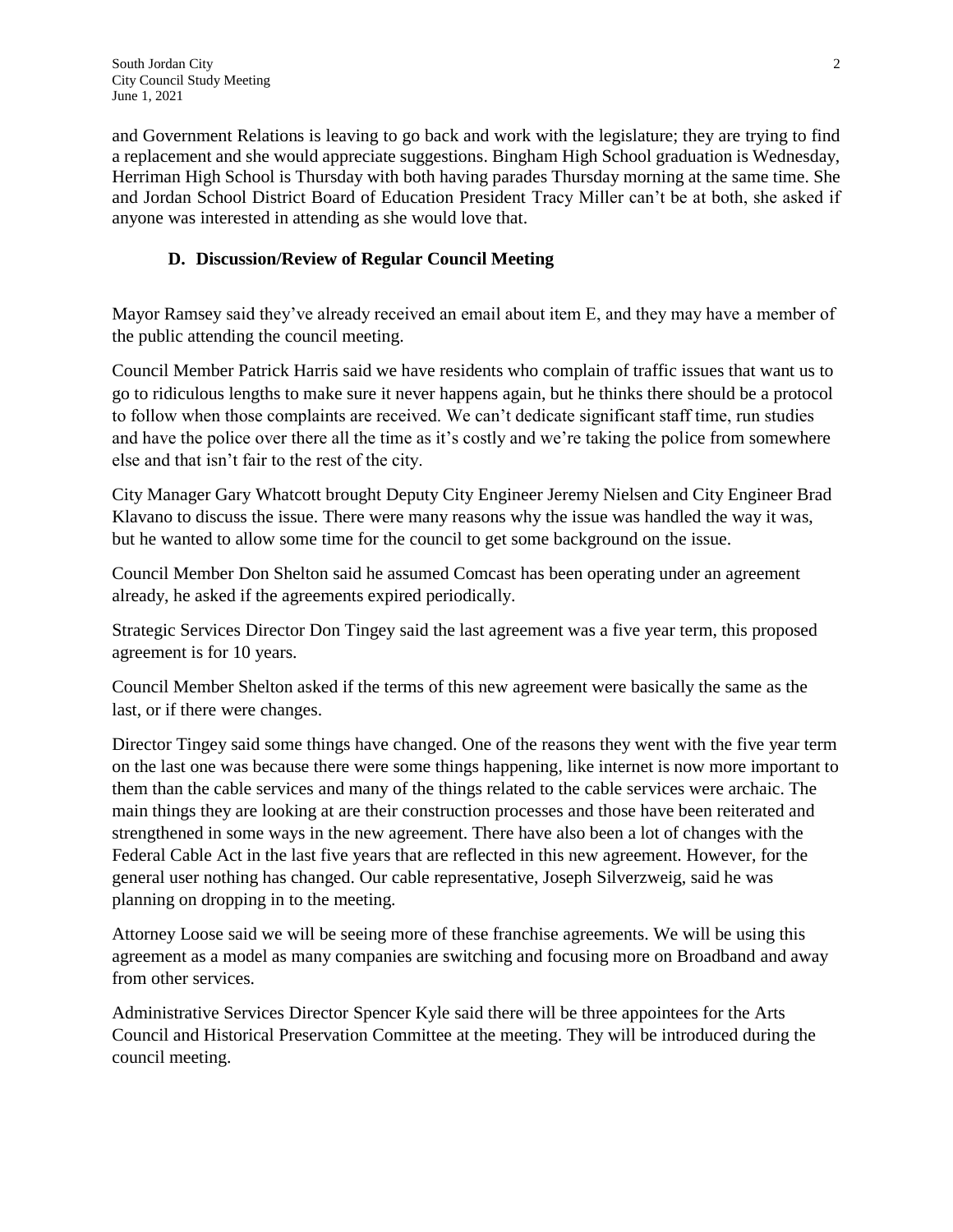and Government Relations is leaving to go back and work with the legislature; they are trying to find a replacement and she would appreciate suggestions. Bingham High School graduation is Wednesday, Herriman High School is Thursday with both having parades Thursday morning at the same time. She and Jordan School District Board of Education President Tracy Miller can't be at both, she asked if anyone was interested in attending as she would love that.

#### **D. Discussion/Review of Regular Council Meeting**

Mayor Ramsey said they've already received an email about item E, and they may have a member of the public attending the council meeting.

Council Member Patrick Harris said we have residents who complain of traffic issues that want us to go to ridiculous lengths to make sure it never happens again, but he thinks there should be a protocol to follow when those complaints are received. We can't dedicate significant staff time, run studies and have the police over there all the time as it's costly and we're taking the police from somewhere else and that isn't fair to the rest of the city.

City Manager Gary Whatcott brought Deputy City Engineer Jeremy Nielsen and City Engineer Brad Klavano to discuss the issue. There were many reasons why the issue was handled the way it was, but he wanted to allow some time for the council to get some background on the issue.

Council Member Don Shelton said he assumed Comcast has been operating under an agreement already, he asked if the agreements expired periodically.

Strategic Services Director Don Tingey said the last agreement was a five year term, this proposed agreement is for 10 years.

Council Member Shelton asked if the terms of this new agreement were basically the same as the last, or if there were changes.

Director Tingey said some things have changed. One of the reasons they went with the five year term on the last one was because there were some things happening, like internet is now more important to them than the cable services and many of the things related to the cable services were archaic. The main things they are looking at are their construction processes and those have been reiterated and strengthened in some ways in the new agreement. There have also been a lot of changes with the Federal Cable Act in the last five years that are reflected in this new agreement. However, for the general user nothing has changed. Our cable representative, Joseph Silverzweig, said he was planning on dropping in to the meeting.

Attorney Loose said we will be seeing more of these franchise agreements. We will be using this agreement as a model as many companies are switching and focusing more on Broadband and away from other services.

Administrative Services Director Spencer Kyle said there will be three appointees for the Arts Council and Historical Preservation Committee at the meeting. They will be introduced during the council meeting.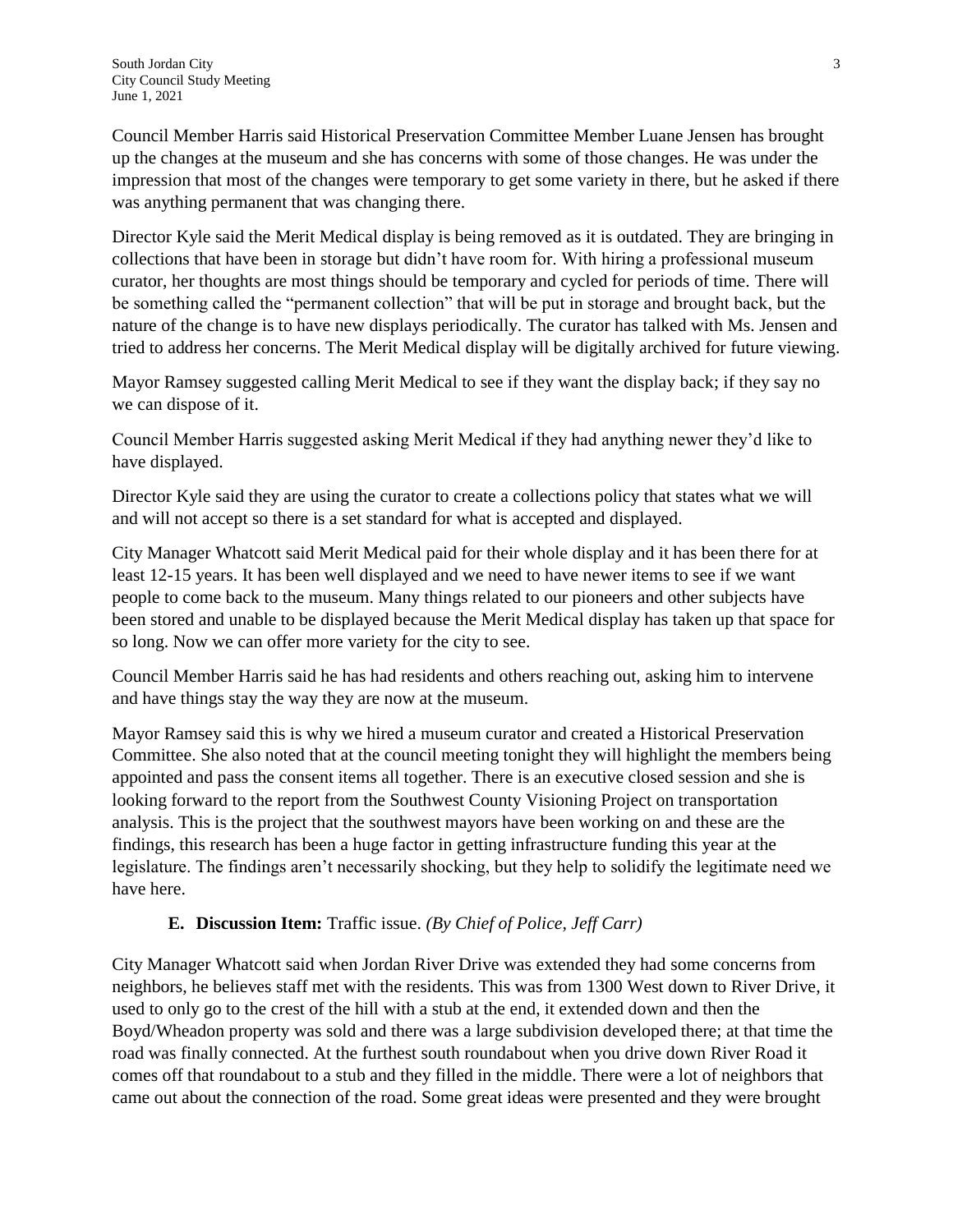Council Member Harris said Historical Preservation Committee Member Luane Jensen has brought up the changes at the museum and she has concerns with some of those changes. He was under the impression that most of the changes were temporary to get some variety in there, but he asked if there was anything permanent that was changing there.

Director Kyle said the Merit Medical display is being removed as it is outdated. They are bringing in collections that have been in storage but didn't have room for. With hiring a professional museum curator, her thoughts are most things should be temporary and cycled for periods of time. There will be something called the "permanent collection" that will be put in storage and brought back, but the nature of the change is to have new displays periodically. The curator has talked with Ms. Jensen and tried to address her concerns. The Merit Medical display will be digitally archived for future viewing.

Mayor Ramsey suggested calling Merit Medical to see if they want the display back; if they say no we can dispose of it.

Council Member Harris suggested asking Merit Medical if they had anything newer they'd like to have displayed.

Director Kyle said they are using the curator to create a collections policy that states what we will and will not accept so there is a set standard for what is accepted and displayed.

City Manager Whatcott said Merit Medical paid for their whole display and it has been there for at least 12-15 years. It has been well displayed and we need to have newer items to see if we want people to come back to the museum. Many things related to our pioneers and other subjects have been stored and unable to be displayed because the Merit Medical display has taken up that space for so long. Now we can offer more variety for the city to see.

Council Member Harris said he has had residents and others reaching out, asking him to intervene and have things stay the way they are now at the museum.

Mayor Ramsey said this is why we hired a museum curator and created a Historical Preservation Committee. She also noted that at the council meeting tonight they will highlight the members being appointed and pass the consent items all together. There is an executive closed session and she is looking forward to the report from the Southwest County Visioning Project on transportation analysis. This is the project that the southwest mayors have been working on and these are the findings, this research has been a huge factor in getting infrastructure funding this year at the legislature. The findings aren't necessarily shocking, but they help to solidify the legitimate need we have here.

#### **E. Discussion Item:** Traffic issue. *(By Chief of Police, Jeff Carr)*

City Manager Whatcott said when Jordan River Drive was extended they had some concerns from neighbors, he believes staff met with the residents. This was from 1300 West down to River Drive, it used to only go to the crest of the hill with a stub at the end, it extended down and then the Boyd/Wheadon property was sold and there was a large subdivision developed there; at that time the road was finally connected. At the furthest south roundabout when you drive down River Road it comes off that roundabout to a stub and they filled in the middle. There were a lot of neighbors that came out about the connection of the road. Some great ideas were presented and they were brought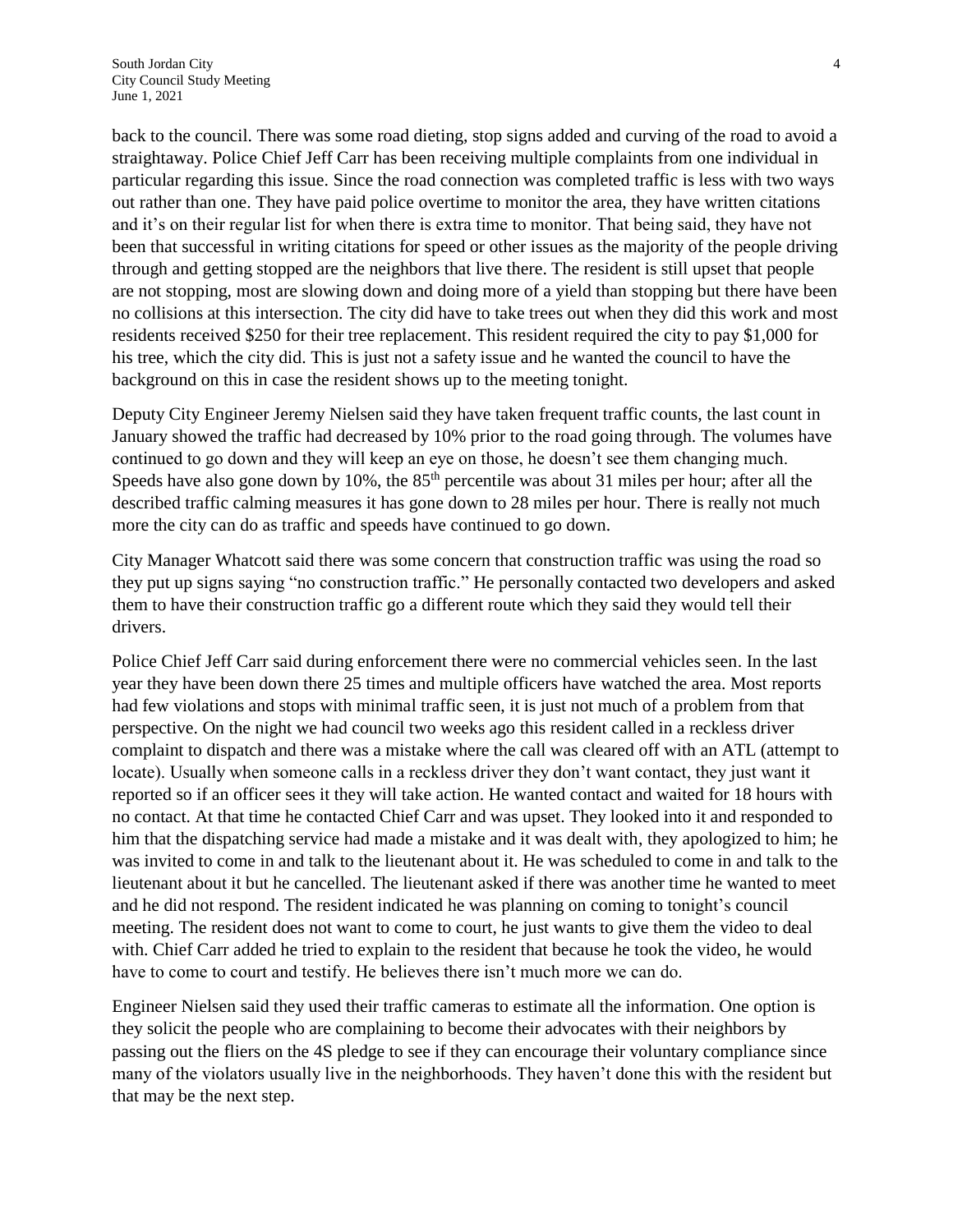back to the council. There was some road dieting, stop signs added and curving of the road to avoid a straightaway. Police Chief Jeff Carr has been receiving multiple complaints from one individual in particular regarding this issue. Since the road connection was completed traffic is less with two ways out rather than one. They have paid police overtime to monitor the area, they have written citations and it's on their regular list for when there is extra time to monitor. That being said, they have not been that successful in writing citations for speed or other issues as the majority of the people driving through and getting stopped are the neighbors that live there. The resident is still upset that people are not stopping, most are slowing down and doing more of a yield than stopping but there have been no collisions at this intersection. The city did have to take trees out when they did this work and most residents received \$250 for their tree replacement. This resident required the city to pay \$1,000 for his tree, which the city did. This is just not a safety issue and he wanted the council to have the background on this in case the resident shows up to the meeting tonight.

Deputy City Engineer Jeremy Nielsen said they have taken frequent traffic counts, the last count in January showed the traffic had decreased by 10% prior to the road going through. The volumes have continued to go down and they will keep an eye on those, he doesn't see them changing much. Speeds have also gone down by 10%, the  $85<sup>th</sup>$  percentile was about 31 miles per hour; after all the described traffic calming measures it has gone down to 28 miles per hour. There is really not much more the city can do as traffic and speeds have continued to go down.

City Manager Whatcott said there was some concern that construction traffic was using the road so they put up signs saying "no construction traffic." He personally contacted two developers and asked them to have their construction traffic go a different route which they said they would tell their drivers.

Police Chief Jeff Carr said during enforcement there were no commercial vehicles seen. In the last year they have been down there 25 times and multiple officers have watched the area. Most reports had few violations and stops with minimal traffic seen, it is just not much of a problem from that perspective. On the night we had council two weeks ago this resident called in a reckless driver complaint to dispatch and there was a mistake where the call was cleared off with an ATL (attempt to locate). Usually when someone calls in a reckless driver they don't want contact, they just want it reported so if an officer sees it they will take action. He wanted contact and waited for 18 hours with no contact. At that time he contacted Chief Carr and was upset. They looked into it and responded to him that the dispatching service had made a mistake and it was dealt with, they apologized to him; he was invited to come in and talk to the lieutenant about it. He was scheduled to come in and talk to the lieutenant about it but he cancelled. The lieutenant asked if there was another time he wanted to meet and he did not respond. The resident indicated he was planning on coming to tonight's council meeting. The resident does not want to come to court, he just wants to give them the video to deal with. Chief Carr added he tried to explain to the resident that because he took the video, he would have to come to court and testify. He believes there isn't much more we can do.

Engineer Nielsen said they used their traffic cameras to estimate all the information. One option is they solicit the people who are complaining to become their advocates with their neighbors by passing out the fliers on the 4S pledge to see if they can encourage their voluntary compliance since many of the violators usually live in the neighborhoods. They haven't done this with the resident but that may be the next step.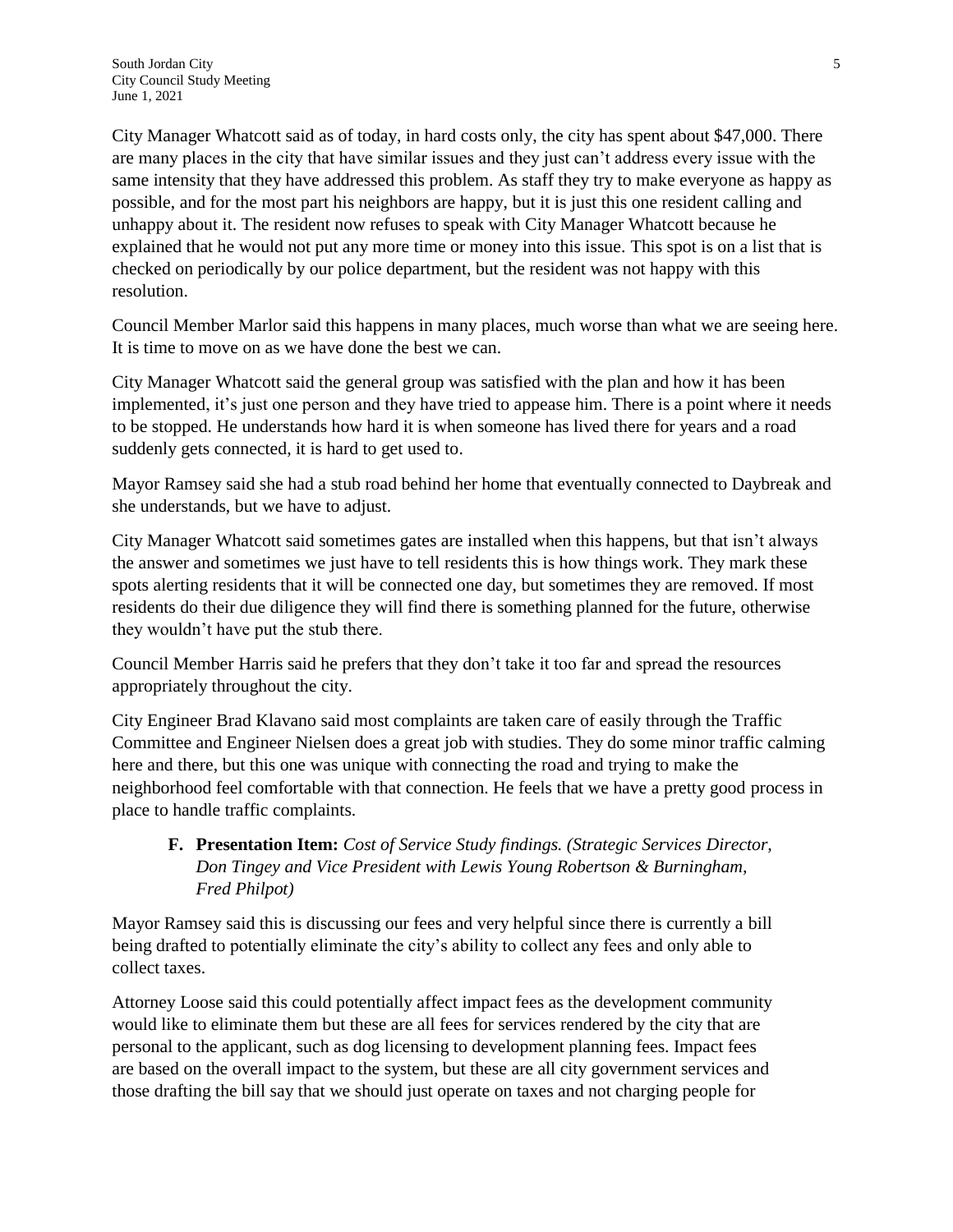City Manager Whatcott said as of today, in hard costs only, the city has spent about \$47,000. There are many places in the city that have similar issues and they just can't address every issue with the same intensity that they have addressed this problem. As staff they try to make everyone as happy as possible, and for the most part his neighbors are happy, but it is just this one resident calling and unhappy about it. The resident now refuses to speak with City Manager Whatcott because he explained that he would not put any more time or money into this issue. This spot is on a list that is checked on periodically by our police department, but the resident was not happy with this resolution.

Council Member Marlor said this happens in many places, much worse than what we are seeing here. It is time to move on as we have done the best we can.

City Manager Whatcott said the general group was satisfied with the plan and how it has been implemented, it's just one person and they have tried to appease him. There is a point where it needs to be stopped. He understands how hard it is when someone has lived there for years and a road suddenly gets connected, it is hard to get used to.

Mayor Ramsey said she had a stub road behind her home that eventually connected to Daybreak and she understands, but we have to adjust.

City Manager Whatcott said sometimes gates are installed when this happens, but that isn't always the answer and sometimes we just have to tell residents this is how things work. They mark these spots alerting residents that it will be connected one day, but sometimes they are removed. If most residents do their due diligence they will find there is something planned for the future, otherwise they wouldn't have put the stub there.

Council Member Harris said he prefers that they don't take it too far and spread the resources appropriately throughout the city.

City Engineer Brad Klavano said most complaints are taken care of easily through the Traffic Committee and Engineer Nielsen does a great job with studies. They do some minor traffic calming here and there, but this one was unique with connecting the road and trying to make the neighborhood feel comfortable with that connection. He feels that we have a pretty good process in place to handle traffic complaints.

#### **F. Presentation Item:** *Cost of Service Study findings. (Strategic Services Director, Don Tingey and Vice President with Lewis Young Robertson & Burningham, Fred Philpot)*

Mayor Ramsey said this is discussing our fees and very helpful since there is currently a bill being drafted to potentially eliminate the city's ability to collect any fees and only able to collect taxes.

Attorney Loose said this could potentially affect impact fees as the development community would like to eliminate them but these are all fees for services rendered by the city that are personal to the applicant, such as dog licensing to development planning fees. Impact fees are based on the overall impact to the system, but these are all city government services and those drafting the bill say that we should just operate on taxes and not charging people for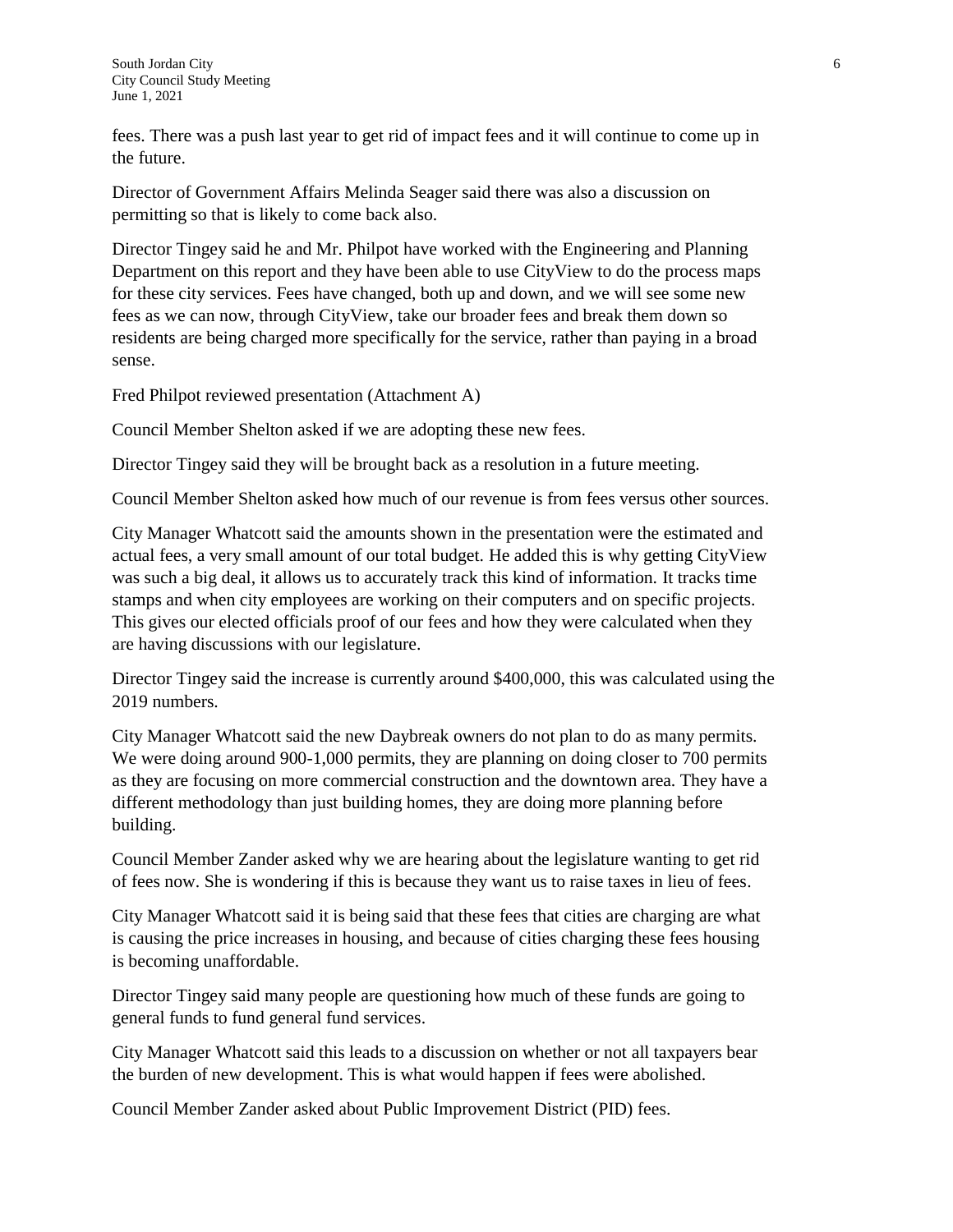fees. There was a push last year to get rid of impact fees and it will continue to come up in the future.

Director of Government Affairs Melinda Seager said there was also a discussion on permitting so that is likely to come back also.

Director Tingey said he and Mr. Philpot have worked with the Engineering and Planning Department on this report and they have been able to use CityView to do the process maps for these city services. Fees have changed, both up and down, and we will see some new fees as we can now, through CityView, take our broader fees and break them down so residents are being charged more specifically for the service, rather than paying in a broad sense.

Fred Philpot reviewed presentation (Attachment A)

Council Member Shelton asked if we are adopting these new fees.

Director Tingey said they will be brought back as a resolution in a future meeting.

Council Member Shelton asked how much of our revenue is from fees versus other sources.

City Manager Whatcott said the amounts shown in the presentation were the estimated and actual fees, a very small amount of our total budget. He added this is why getting CityView was such a big deal, it allows us to accurately track this kind of information. It tracks time stamps and when city employees are working on their computers and on specific projects. This gives our elected officials proof of our fees and how they were calculated when they are having discussions with our legislature.

Director Tingey said the increase is currently around \$400,000, this was calculated using the 2019 numbers.

City Manager Whatcott said the new Daybreak owners do not plan to do as many permits. We were doing around 900-1,000 permits, they are planning on doing closer to 700 permits as they are focusing on more commercial construction and the downtown area. They have a different methodology than just building homes, they are doing more planning before building.

Council Member Zander asked why we are hearing about the legislature wanting to get rid of fees now. She is wondering if this is because they want us to raise taxes in lieu of fees.

City Manager Whatcott said it is being said that these fees that cities are charging are what is causing the price increases in housing, and because of cities charging these fees housing is becoming unaffordable.

Director Tingey said many people are questioning how much of these funds are going to general funds to fund general fund services.

City Manager Whatcott said this leads to a discussion on whether or not all taxpayers bear the burden of new development. This is what would happen if fees were abolished.

Council Member Zander asked about Public Improvement District (PID) fees.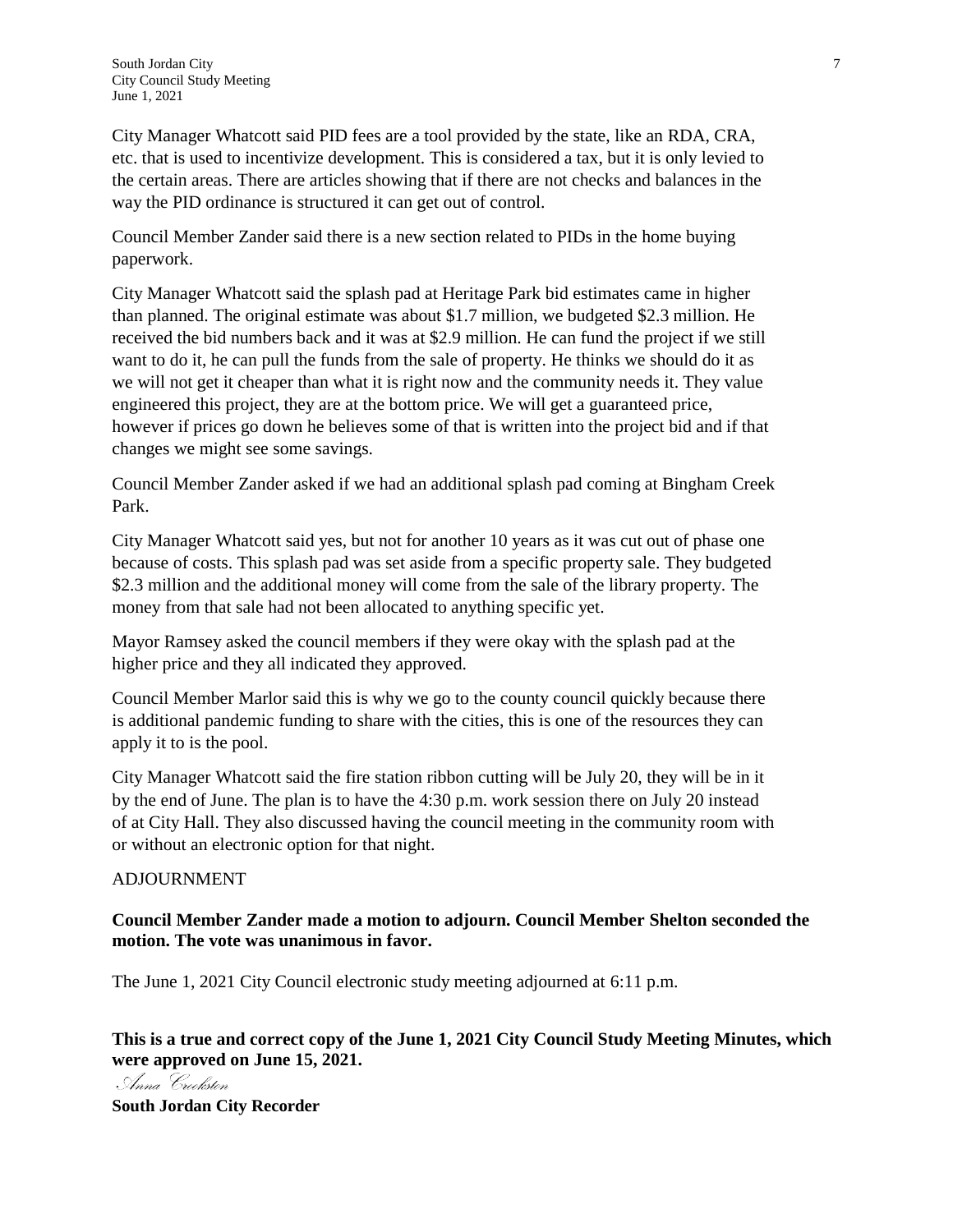City Manager Whatcott said PID fees are a tool provided by the state, like an RDA, CRA, etc. that is used to incentivize development. This is considered a tax, but it is only levied to the certain areas. There are articles showing that if there are not checks and balances in the way the PID ordinance is structured it can get out of control.

Council Member Zander said there is a new section related to PIDs in the home buying paperwork.

City Manager Whatcott said the splash pad at Heritage Park bid estimates came in higher than planned. The original estimate was about \$1.7 million, we budgeted \$2.3 million. He received the bid numbers back and it was at \$2.9 million. He can fund the project if we still want to do it, he can pull the funds from the sale of property. He thinks we should do it as we will not get it cheaper than what it is right now and the community needs it. They value engineered this project, they are at the bottom price. We will get a guaranteed price, however if prices go down he believes some of that is written into the project bid and if that changes we might see some savings.

Council Member Zander asked if we had an additional splash pad coming at Bingham Creek Park.

City Manager Whatcott said yes, but not for another 10 years as it was cut out of phase one because of costs. This splash pad was set aside from a specific property sale. They budgeted \$2.3 million and the additional money will come from the sale of the library property. The money from that sale had not been allocated to anything specific yet.

Mayor Ramsey asked the council members if they were okay with the splash pad at the higher price and they all indicated they approved.

Council Member Marlor said this is why we go to the county council quickly because there is additional pandemic funding to share with the cities, this is one of the resources they can apply it to is the pool.

City Manager Whatcott said the fire station ribbon cutting will be July 20, they will be in it by the end of June. The plan is to have the 4:30 p.m. work session there on July 20 instead of at City Hall. They also discussed having the council meeting in the community room with or without an electronic option for that night.

#### ADJOURNMENT

#### **Council Member Zander made a motion to adjourn. Council Member Shelton seconded the motion. The vote was unanimous in favor.**

The June 1, 2021 City Council electronic study meeting adjourned at 6:11 p.m.

**This is a true and correct copy of the June 1, 2021 City Council Study Meeting Minutes, which were approved on June 15, 2021.**

Anna Croeksten

**South Jordan City Recorder**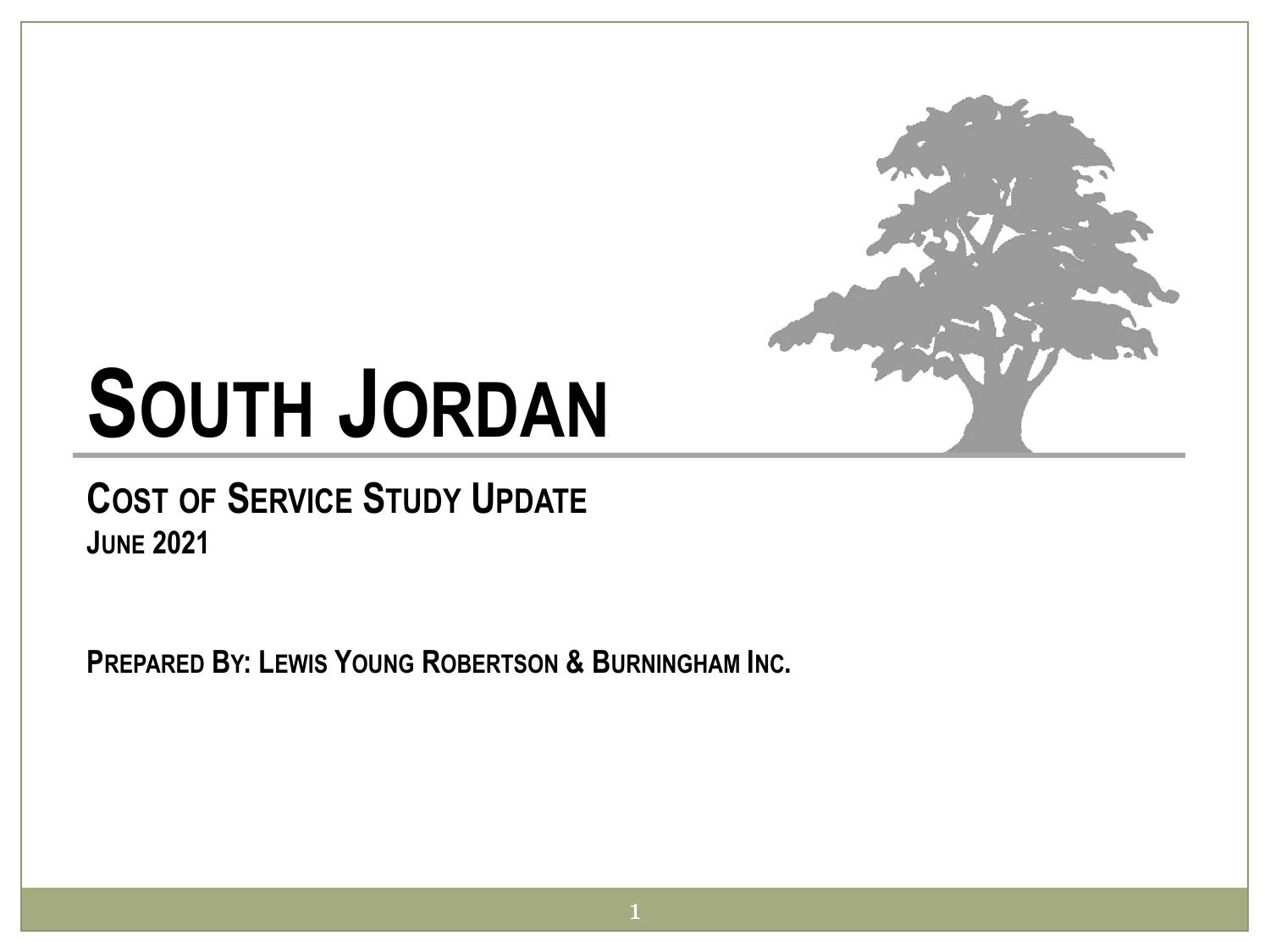

# **SOUTH JORDAN**

#### **COST OF SERVICE STUDY UPDATE JUNE 2021**

**PREPARED BY: LEWIS YOUNG ROBERTSON & BURNINGHAM INC.**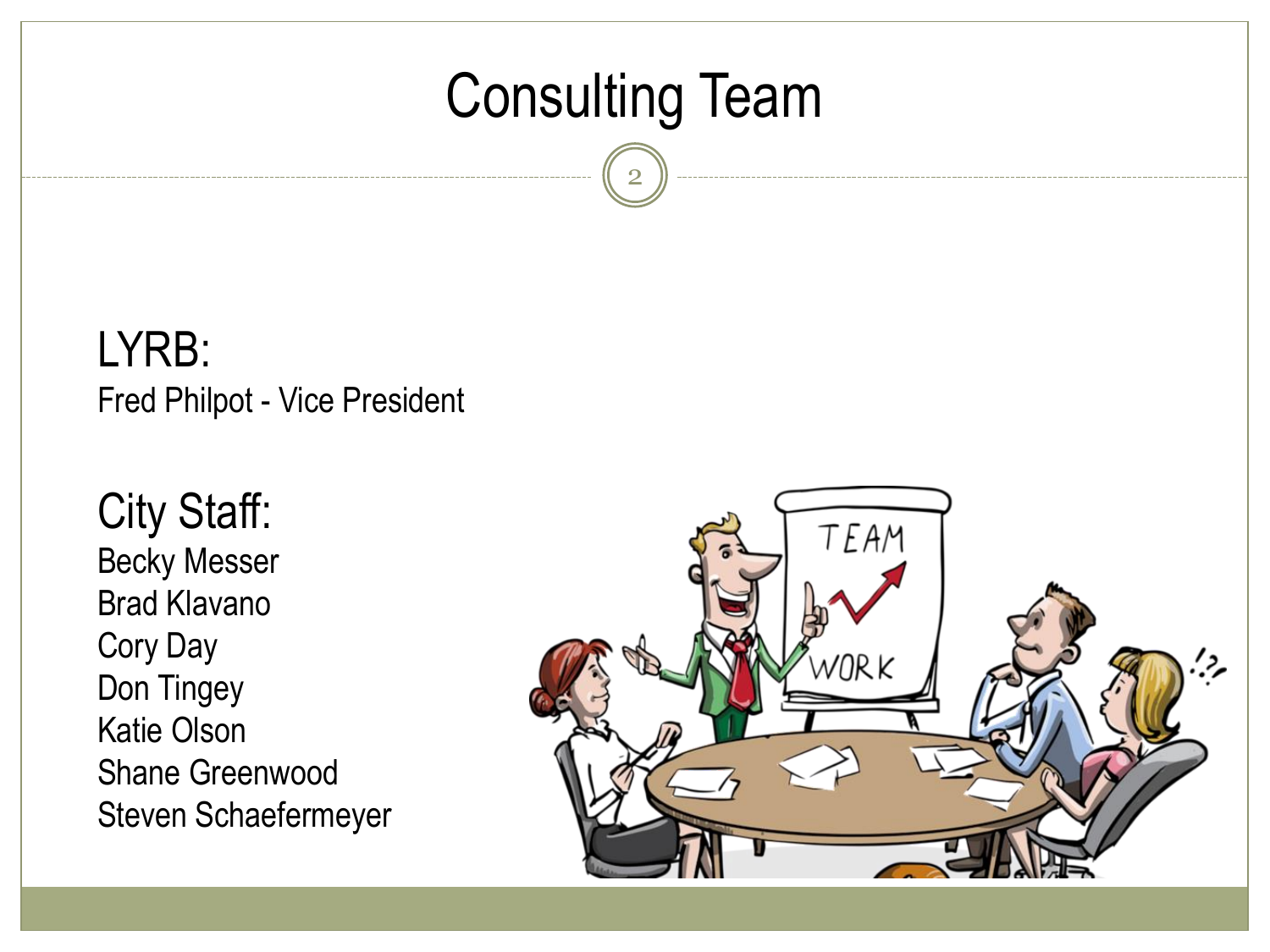### Consulting Team

2

LYRB: Fred Philpot - Vice President

City Staff: Becky Messer Brad Klavano Cory Day Don Tingey Katie Olson Shane Greenwood Steven Schaefermeyer

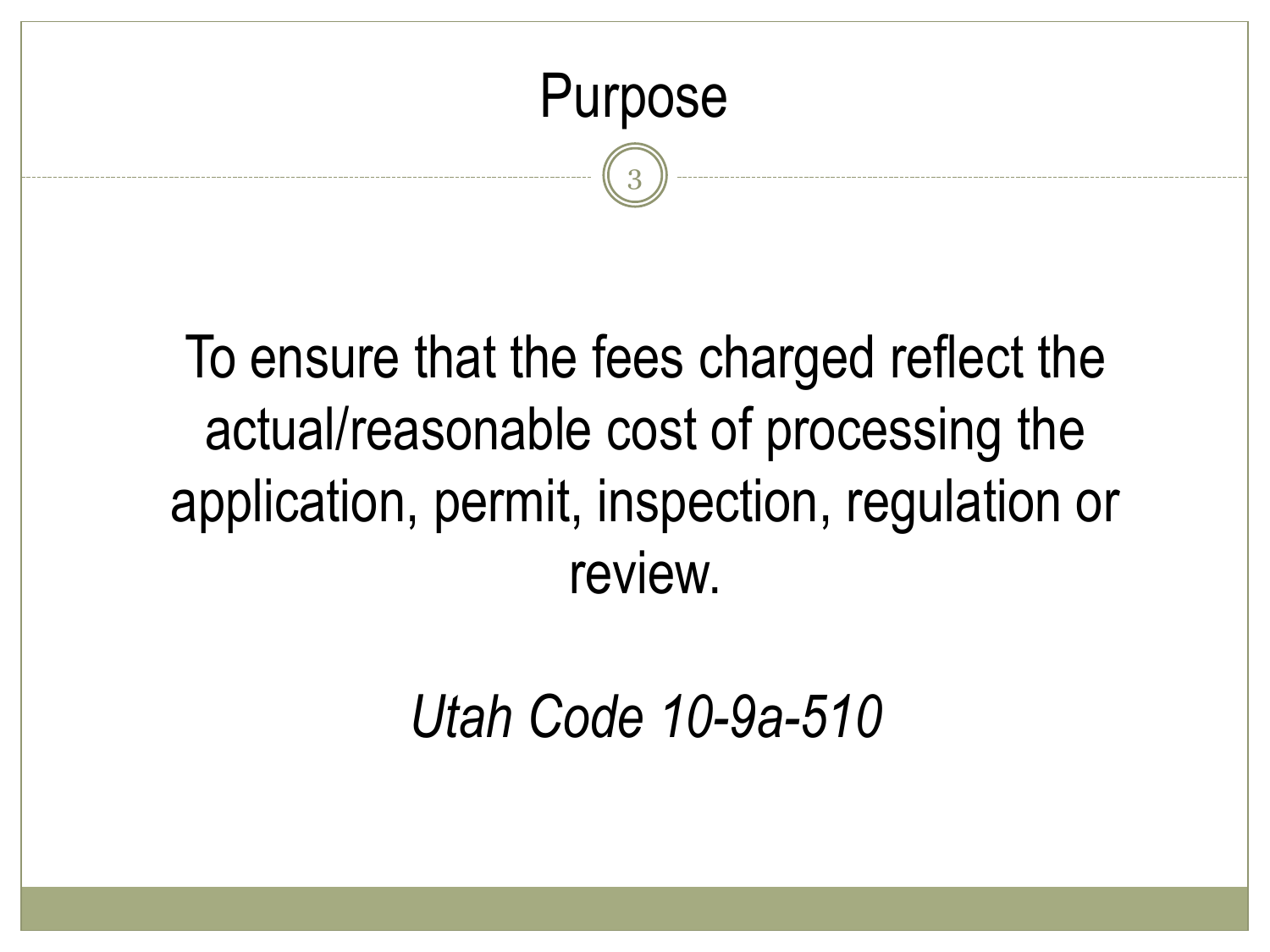

# To ensure that the fees charged reflect the actual/reasonable cost of processing the application, permit, inspection, regulation or review.

*Utah Code 10-9a-510*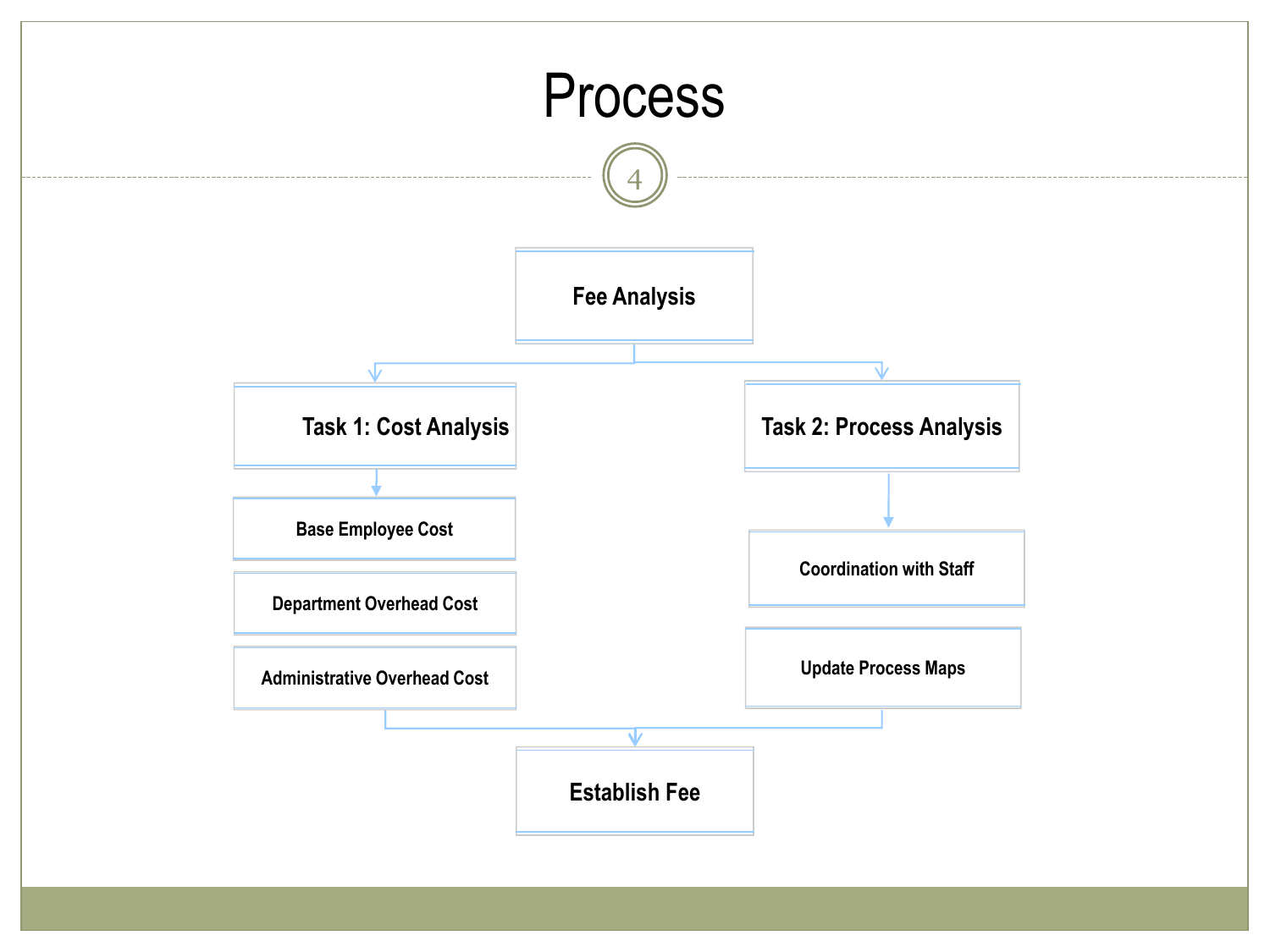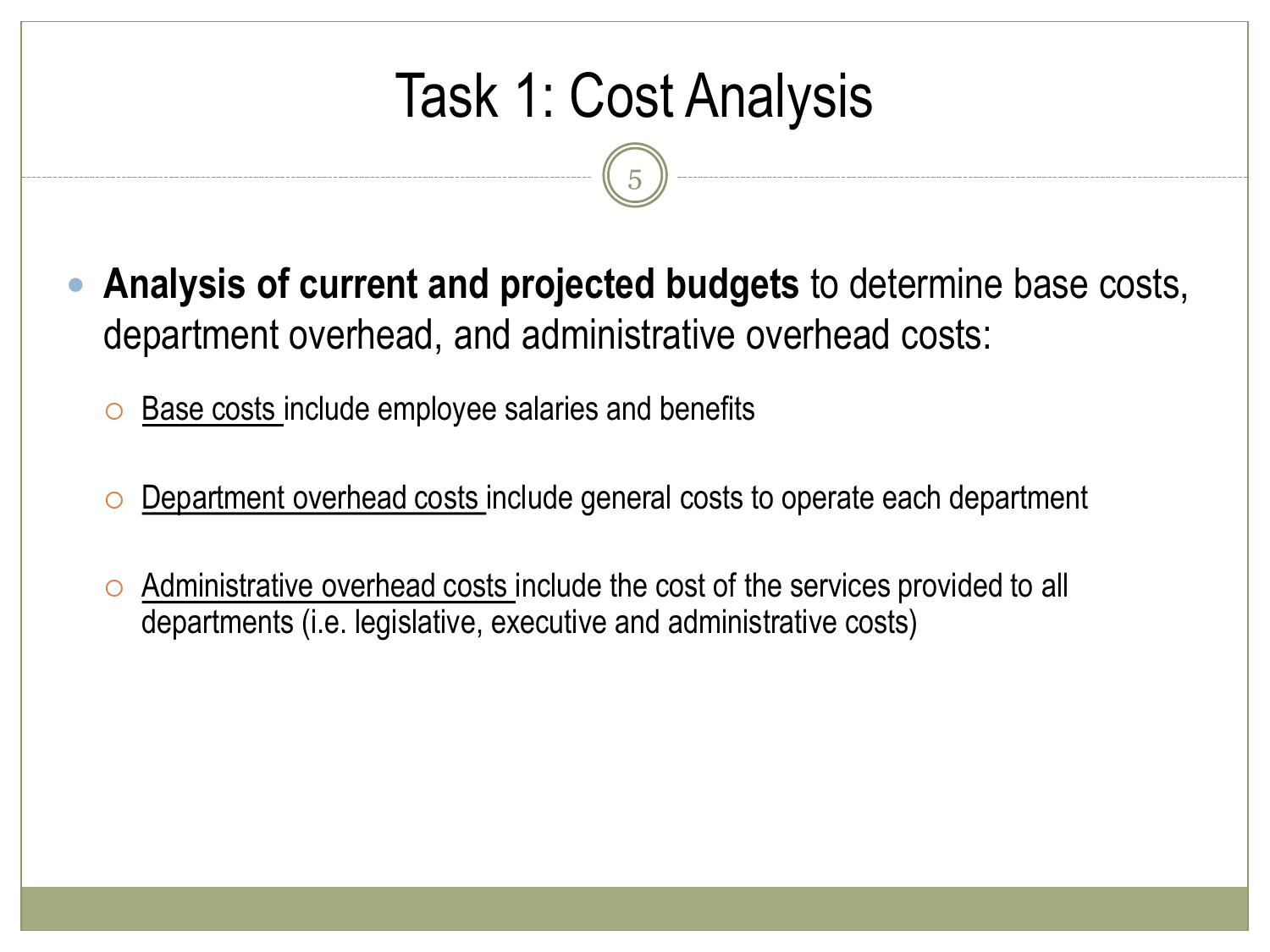# Task 1: Cost Analysis

5

- **Analysis of current and projected budgets** to determine base costs, department overhead, and administrative overhead costs:
	- $\circ$  Base costs include employee salaries and benefits
	- Department overhead costs include general costs to operate each department
	- $\circ$  Administrative overhead costs include the cost of the services provided to all departments (i.e. legislative, executive and administrative costs)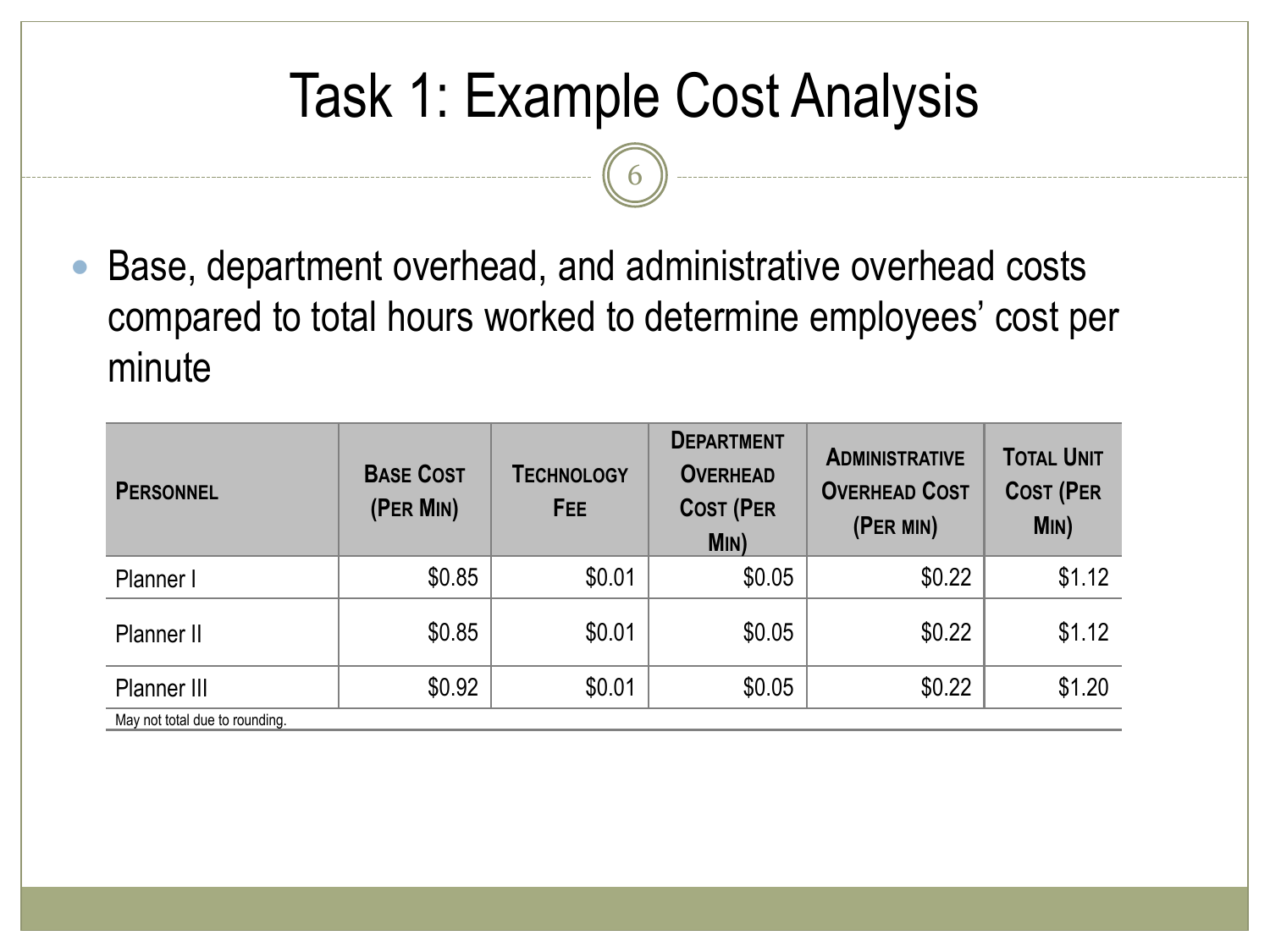# Task 1: Example Cost Analysis

6

 Base, department overhead, and administrative overhead costs compared to total hours worked to determine employees' cost per minute

| <b>PERSONNEL</b>               | <b>BASE COST</b><br>(PER MIN) | <b>TECHNOLOGY</b><br>FEE | <b>DEPARTMENT</b><br><b>OVERHEAD</b><br><b>COST (PER</b><br>Min) | <b>ADMINISTRATIVE</b><br><b>OVERHEAD COST</b><br>(PER MIN) | <b>TOTAL UNIT</b><br><b>COST (PER</b><br>MIN) |  |
|--------------------------------|-------------------------------|--------------------------|------------------------------------------------------------------|------------------------------------------------------------|-----------------------------------------------|--|
| Planner I                      | \$0.85                        | \$0.01                   | \$0.05                                                           | \$0.22                                                     | \$1.12                                        |  |
| Planner II                     | \$0.85                        | \$0.01                   | \$0.05                                                           | \$0.22                                                     | \$1.12                                        |  |
| Planner III                    | \$0.92                        | \$0.01                   | \$0.05                                                           | \$0.22                                                     | \$1.20                                        |  |
| May not total due to rounding. |                               |                          |                                                                  |                                                            |                                               |  |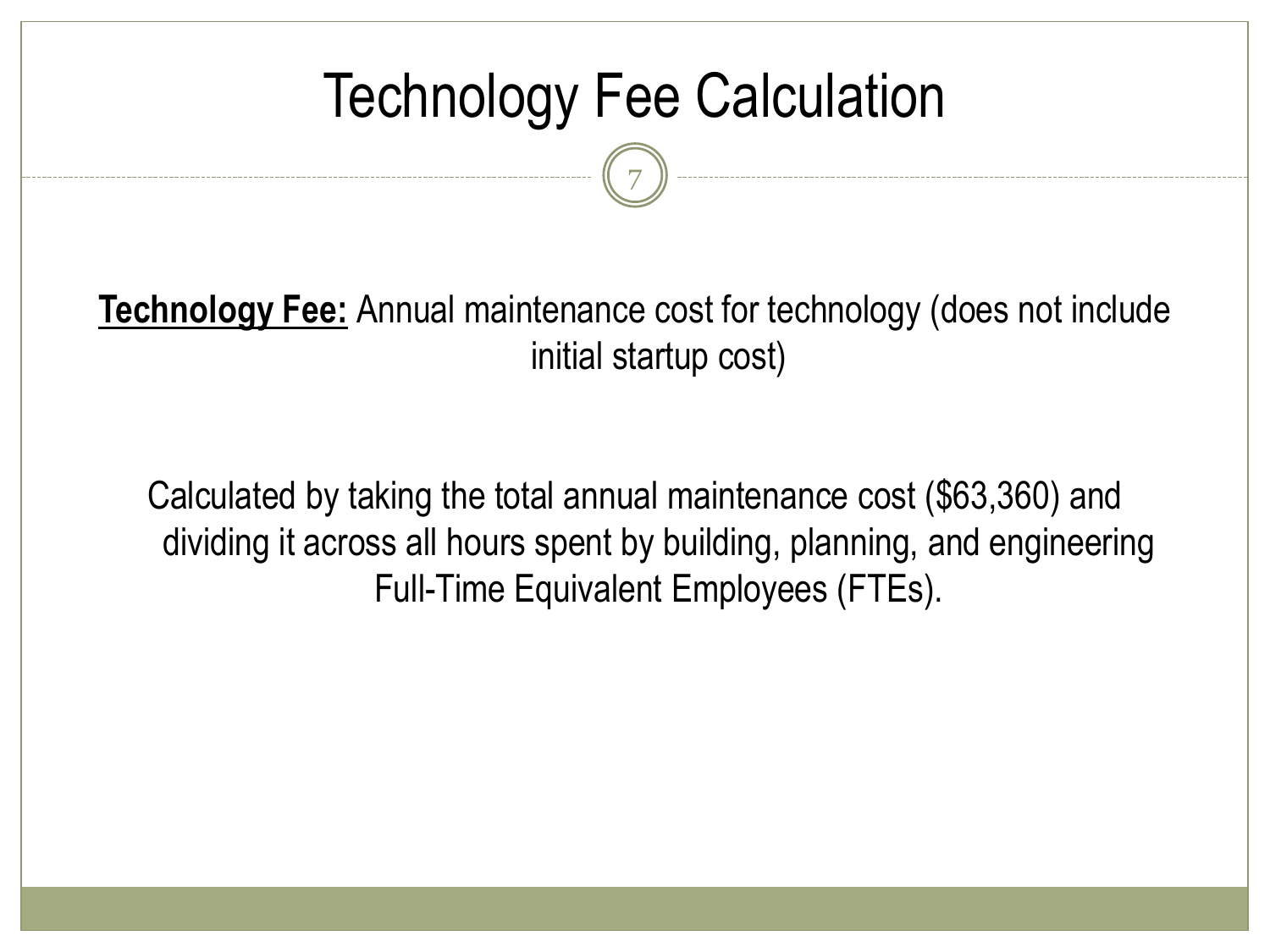### Technology Fee Calculation

7

**Technology Fee:** Annual maintenance cost for technology (does not include initial startup cost)

Calculated by taking the total annual maintenance cost (\$63,360) and dividing it across all hours spent by building, planning, and engineering Full-Time Equivalent Employees (FTEs).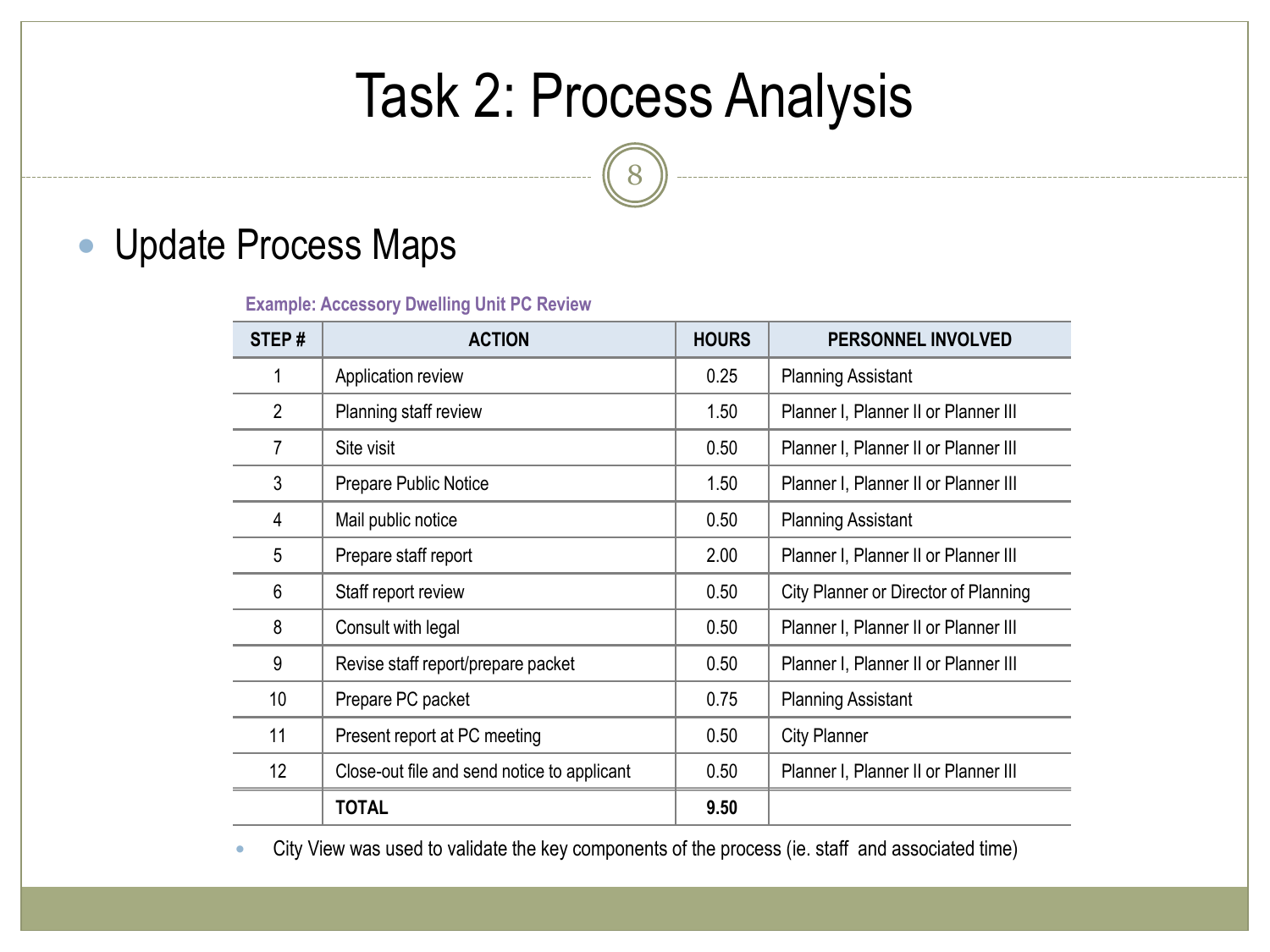### Task 2: Process Analysis

#### Update Process Maps

**Example: Accessory Dwelling Unit PC Review**

| STEP#          | <b>ACTION</b>                               | <b>HOURS</b> | PERSONNEL INVOLVED                   |
|----------------|---------------------------------------------|--------------|--------------------------------------|
| 1              | Application review                          | 0.25         | <b>Planning Assistant</b>            |
| $\overline{2}$ | Planning staff review                       | 1.50         | Planner I, Planner II or Planner III |
| 7              | Site visit                                  | 0.50         | Planner I, Planner II or Planner III |
| 3              | Prepare Public Notice                       | 1.50         | Planner I, Planner II or Planner III |
| 4              | Mail public notice                          | 0.50         | <b>Planning Assistant</b>            |
| 5              | Prepare staff report                        | 2.00         | Planner I, Planner II or Planner III |
| 6              | Staff report review                         | 0.50         | City Planner or Director of Planning |
| 8              | Consult with legal                          | 0.50         | Planner I, Planner II or Planner III |
| 9              | Revise staff report/prepare packet          | 0.50         | Planner I, Planner II or Planner III |
| 10             | Prepare PC packet                           | 0.75         | <b>Planning Assistant</b>            |
| 11             | Present report at PC meeting                | 0.50         | <b>City Planner</b>                  |
| 12             | Close-out file and send notice to applicant | 0.50         | Planner I, Planner II or Planner III |
|                | TOTAL                                       | 9.50         |                                      |

City View was used to validate the key components of the process (ie. staff and associated time)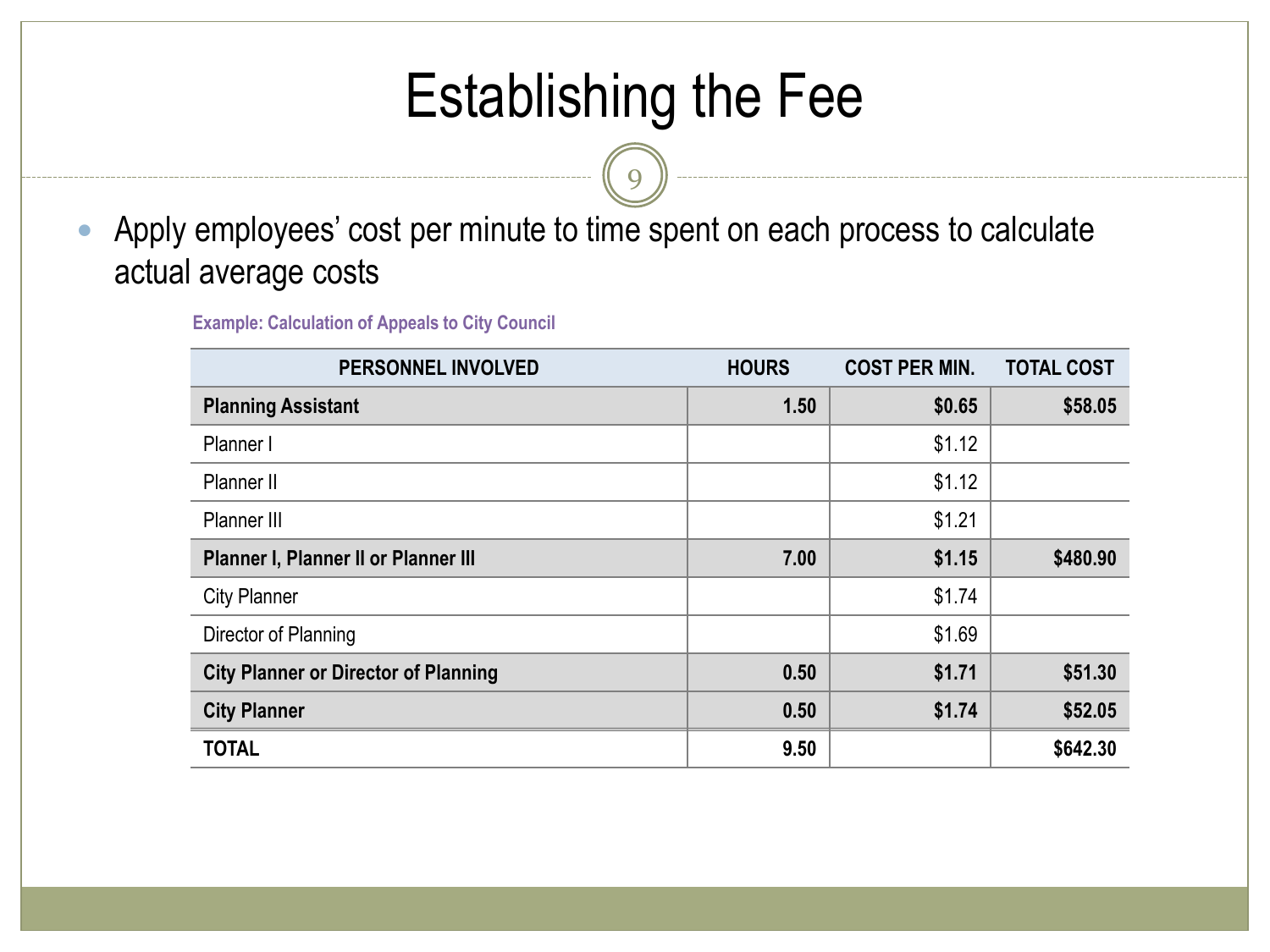### Establishing the Fee

9

 Apply employees' cost per minute to time spent on each process to calculate actual average costs

**Example: Calculation of Appeals to City Council**

| <b>PERSONNEL INVOLVED</b>                   | <b>HOURS</b> | <b>COST PER MIN.</b> | <b>TOTAL COST</b> |
|---------------------------------------------|--------------|----------------------|-------------------|
| <b>Planning Assistant</b>                   | 1.50         | \$0.65               | \$58.05           |
| Planner I                                   |              | \$1.12               |                   |
| Planner II                                  |              | \$1.12               |                   |
| Planner III                                 |              | \$1.21               |                   |
| Planner I, Planner II or Planner III        | 7.00         | \$1.15               | \$480.90          |
| <b>City Planner</b>                         |              | \$1.74               |                   |
| Director of Planning                        |              | \$1.69               |                   |
| <b>City Planner or Director of Planning</b> | 0.50         | \$1.71               | \$51.30           |
| <b>City Planner</b>                         | 0.50         | \$1.74               | \$52.05           |
| <b>TOTAL</b>                                | 9.50         |                      | \$642.30          |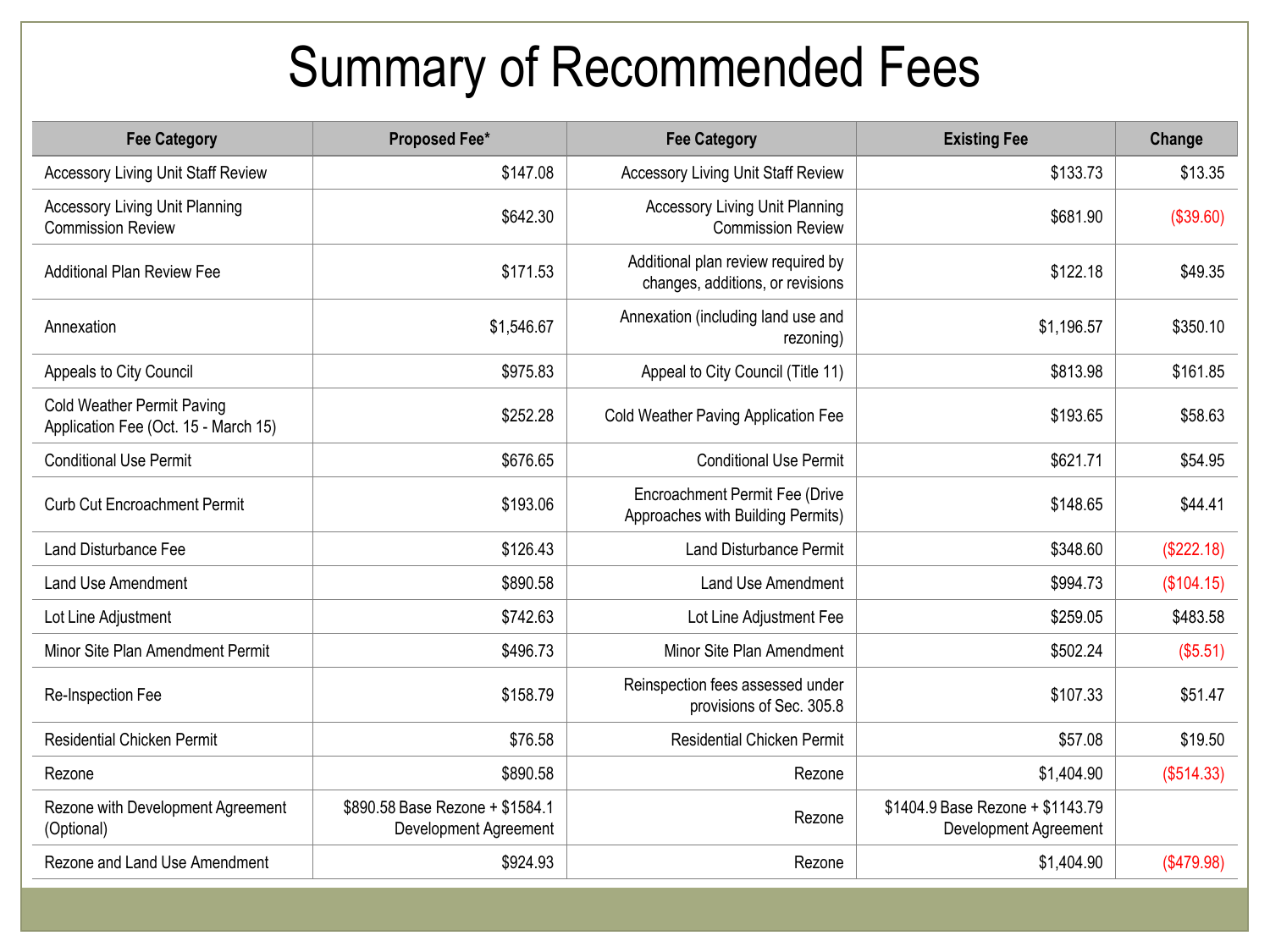### Summary of Recommended Fees

| <b>Fee Category</b>                                                       | <b>Proposed Fee*</b>                                     | <b>Fee Category</b>                                                    | <b>Existing Fee</b>                                       | Change     |
|---------------------------------------------------------------------------|----------------------------------------------------------|------------------------------------------------------------------------|-----------------------------------------------------------|------------|
| <b>Accessory Living Unit Staff Review</b>                                 | \$147.08                                                 | <b>Accessory Living Unit Staff Review</b>                              | \$133.73                                                  | \$13.35    |
| <b>Accessory Living Unit Planning</b><br><b>Commission Review</b>         | \$642.30                                                 | <b>Accessory Living Unit Planning</b><br><b>Commission Review</b>      | \$681.90                                                  | (\$39.60)  |
| <b>Additional Plan Review Fee</b>                                         | \$171.53                                                 | Additional plan review required by<br>changes, additions, or revisions | \$122.18                                                  | \$49.35    |
| Annexation                                                                | \$1,546.67                                               | Annexation (including land use and<br>rezoning)                        | \$1,196.57                                                | \$350.10   |
| Appeals to City Council                                                   | \$975.83                                                 | Appeal to City Council (Title 11)                                      | \$813.98                                                  | \$161.85   |
| <b>Cold Weather Permit Paving</b><br>Application Fee (Oct. 15 - March 15) | \$252.28                                                 | Cold Weather Paving Application Fee                                    | \$193.65                                                  | \$58.63    |
| <b>Conditional Use Permit</b>                                             | \$676.65                                                 | <b>Conditional Use Permit</b>                                          | \$621.71                                                  | \$54.95    |
| <b>Curb Cut Encroachment Permit</b>                                       | \$193.06                                                 | Encroachment Permit Fee (Drive<br>Approaches with Building Permits)    | \$148.65                                                  | \$44.41    |
| Land Disturbance Fee                                                      | \$126.43                                                 | <b>Land Disturbance Permit</b>                                         | \$348.60                                                  | (\$222.18) |
| Land Use Amendment                                                        | \$890.58                                                 | Land Use Amendment                                                     | \$994.73                                                  | (\$104.15) |
| Lot Line Adjustment                                                       | \$742.63                                                 | Lot Line Adjustment Fee                                                | \$259.05                                                  | \$483.58   |
| Minor Site Plan Amendment Permit                                          | \$496.73                                                 | Minor Site Plan Amendment                                              | \$502.24                                                  | (\$5.51)   |
| Re-Inspection Fee                                                         | \$158.79                                                 | Reinspection fees assessed under<br>provisions of Sec. 305.8           | \$107.33                                                  | \$51.47    |
| <b>Residential Chicken Permit</b>                                         | \$76.58                                                  | <b>Residential Chicken Permit</b>                                      | \$57.08                                                   | \$19.50    |
| Rezone                                                                    | \$890.58                                                 | Rezone                                                                 | \$1,404.90                                                | (\$514.33) |
| Rezone with Development Agreement<br>(Optional)                           | \$890.58 Base Rezone + \$1584.1<br>Development Agreement | Rezone                                                                 | \$1404.9 Base Rezone + \$1143.79<br>Development Agreement |            |
| Rezone and Land Use Amendment                                             | \$924.93                                                 | Rezone                                                                 | \$1,404.90                                                | (\$479.98) |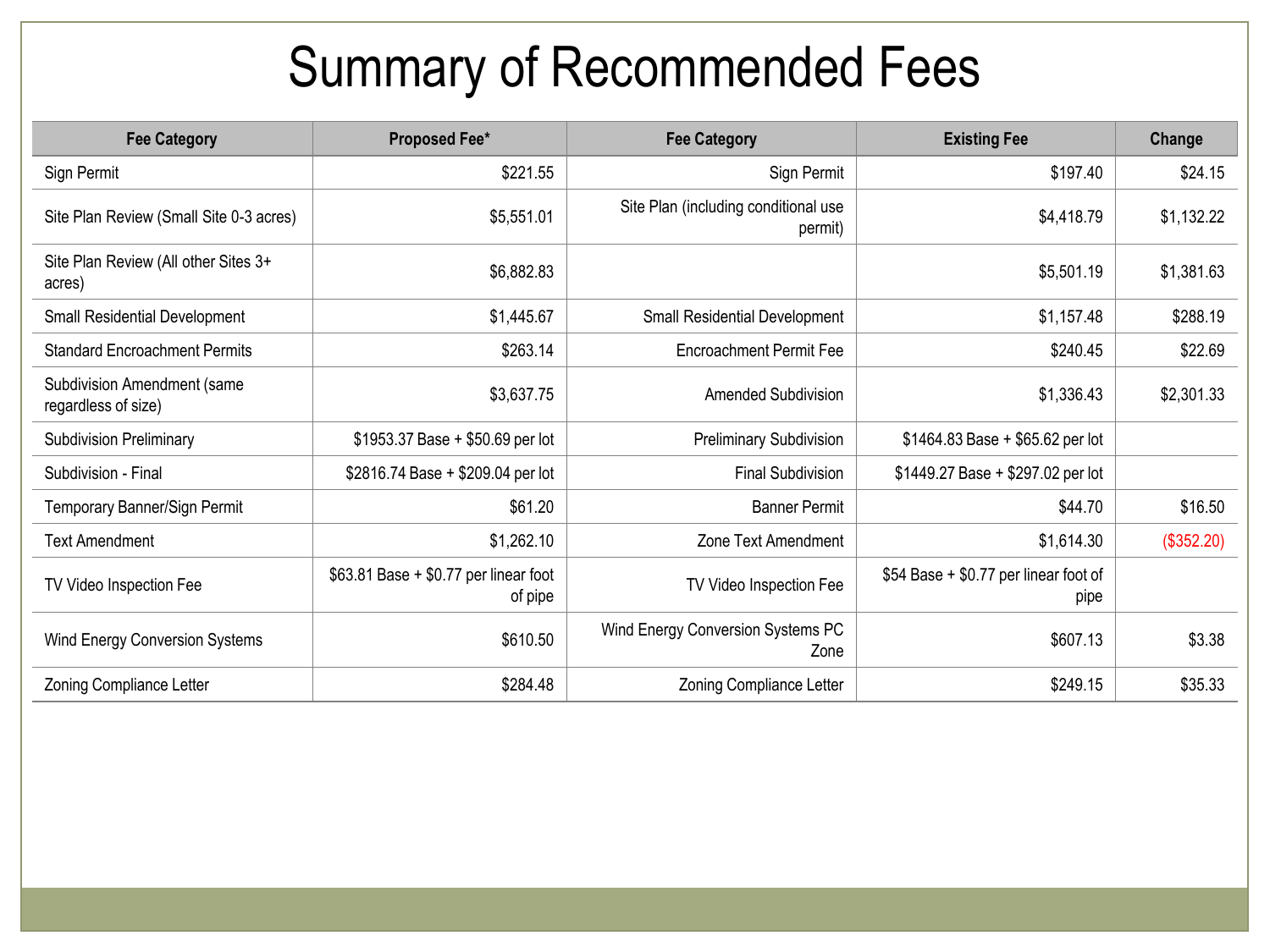### Summary of Recommended Fees

| <b>Fee Category</b>                                | <b>Proposed Fee*</b>                              | <b>Fee Category</b>                             | <b>Existing Fee</b>                           | Change     |
|----------------------------------------------------|---------------------------------------------------|-------------------------------------------------|-----------------------------------------------|------------|
| Sign Permit                                        | \$221.55                                          | Sign Permit                                     | \$197.40                                      | \$24.15    |
| Site Plan Review (Small Site 0-3 acres)            | \$5,551.01                                        | Site Plan (including conditional use<br>permit) | \$4,418.79                                    | \$1,132.22 |
| Site Plan Review (All other Sites 3+<br>acres)     | \$6,882.83                                        |                                                 | \$5,501.19                                    | \$1,381.63 |
| <b>Small Residential Development</b>               | \$1,445.67                                        | <b>Small Residential Development</b>            | \$1,157.48                                    | \$288.19   |
| <b>Standard Encroachment Permits</b>               | \$263.14                                          | <b>Encroachment Permit Fee</b>                  | \$240.45                                      | \$22.69    |
| Subdivision Amendment (same<br>regardless of size) | \$3,637.75                                        | <b>Amended Subdivision</b>                      | \$1,336.43                                    | \$2,301.33 |
| <b>Subdivision Preliminary</b>                     | \$1953.37 Base + \$50.69 per lot                  | <b>Preliminary Subdivision</b>                  | $$1464.83$ Base + \$65.62 per lot             |            |
| Subdivision - Final                                | \$2816.74 Base + \$209.04 per lot                 | <b>Final Subdivision</b>                        | \$1449.27 Base + \$297.02 per lot             |            |
| Temporary Banner/Sign Permit                       | \$61.20                                           | <b>Banner Permit</b>                            | \$44.70                                       | \$16.50    |
| <b>Text Amendment</b>                              | \$1,262.10                                        | Zone Text Amendment                             | \$1,614.30                                    | (\$352.20) |
| TV Video Inspection Fee                            | $$63.81$ Base + \$0.77 per linear foot<br>of pipe | TV Video Inspection Fee                         | \$54 Base + \$0.77 per linear foot of<br>pipe |            |
| Wind Energy Conversion Systems                     | \$610.50                                          | Wind Energy Conversion Systems PC<br>Zone       | \$607.13                                      | \$3.38     |
| Zoning Compliance Letter                           | \$284.48                                          | Zoning Compliance Letter                        | \$249.15                                      | \$35.33    |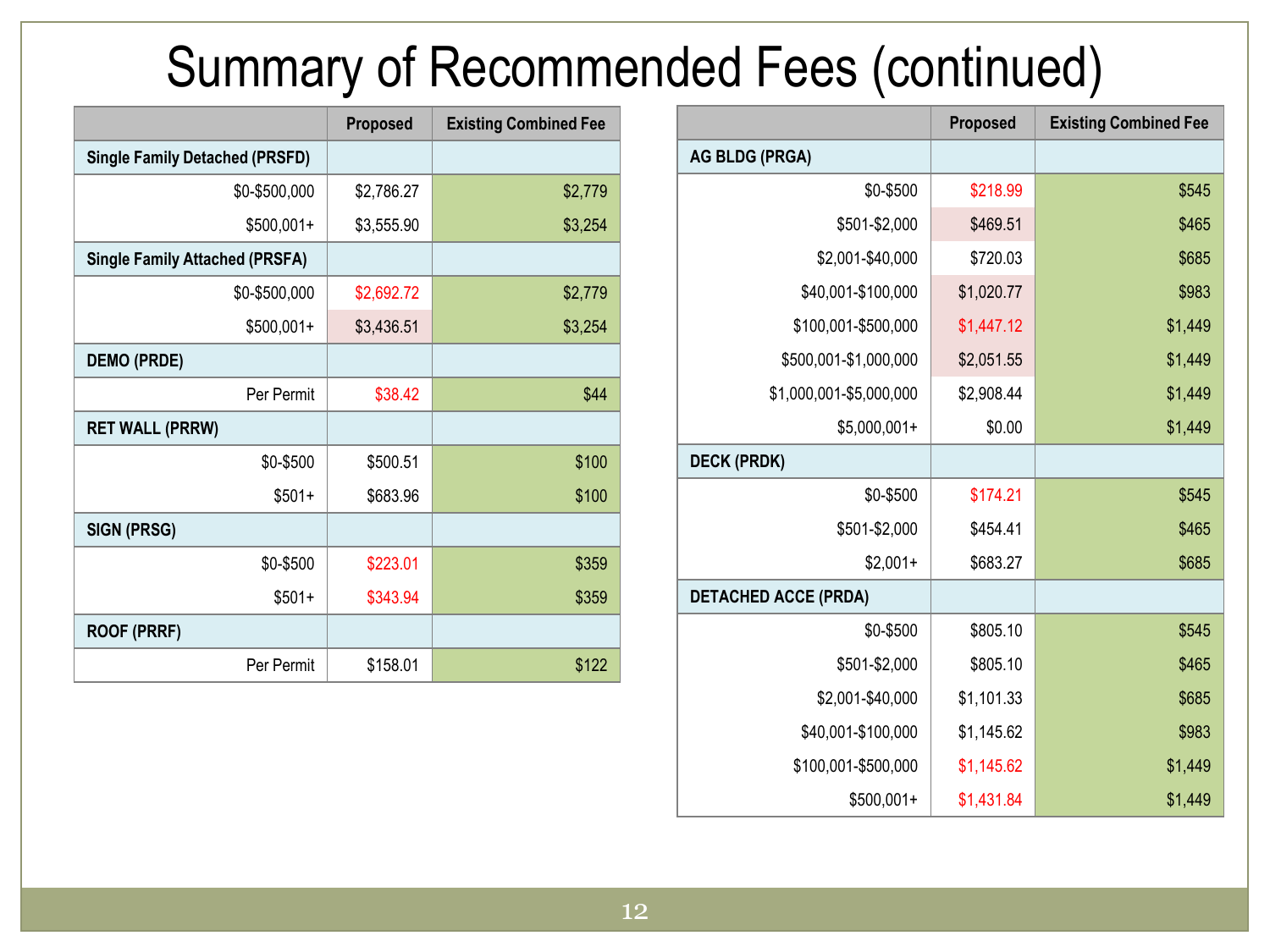### Summary of Recommended Fees (continued)

|                             | <b>Proposed</b> | <b>Existing Combined Fee</b> |
|-----------------------------|-----------------|------------------------------|
| <b>AG BLDG (PRGA)</b>       |                 |                              |
| \$0-\$500                   | \$218.99        | \$545                        |
| \$501-\$2,000               | \$469.51        | \$465                        |
| \$2,001-\$40,000            | \$720.03        | \$685                        |
| \$40,001-\$100,000          | \$1,020.77      | \$983                        |
| \$100,001-\$500,000         | \$1,447.12      | \$1,449                      |
| \$500,001-\$1,000,000       | \$2,051.55      | \$1,449                      |
| \$1,000,001-\$5,000,000     | \$2,908.44      | \$1,449                      |
| $$5,000,001+$               | \$0.00          | \$1,449                      |
| <b>DECK (PRDK)</b>          |                 |                              |
| \$0-\$500                   | \$174.21        | \$545                        |
| \$501-\$2,000               | \$454.41        | \$465                        |
| $$2,001+$                   | \$683.27        | \$685                        |
| <b>DETACHED ACCE (PRDA)</b> |                 |                              |
| \$0-\$500                   | \$805.10        | \$545                        |
| \$501-\$2,000               | \$805.10        | \$465                        |
| \$2,001-\$40,000            | \$1,101.33      | \$685                        |
| \$40,001-\$100,000          | \$1,145.62      | \$983                        |
| \$100,001-\$500,000         | \$1,145.62      | \$1,449                      |
| $$500,001+$                 | \$1,431.84      | \$1,449                      |

|                                       | <b>Proposed</b> | <b>Existing Combined Fee</b> |
|---------------------------------------|-----------------|------------------------------|
| <b>Single Family Detached (PRSFD)</b> |                 |                              |
| \$0-\$500,000                         | \$2,786.27      | \$2,779                      |
| $$500,001+$                           | \$3,555.90      | \$3,254                      |
| <b>Single Family Attached (PRSFA)</b> |                 |                              |
| \$0-\$500,000                         | \$2,692.72      | \$2,779                      |
| $$500,001+$                           | \$3,436.51      | \$3,254                      |
| <b>DEMO (PRDE)</b>                    |                 |                              |
| Per Permit                            | \$38.42         | \$44                         |
| <b>RET WALL (PRRW)</b>                |                 |                              |
| \$0-\$500                             | \$500.51        | \$100                        |
| $$501+$                               | \$683.96        | \$100                        |
| <b>SIGN (PRSG)</b>                    |                 |                              |
| \$0-\$500                             | \$223.01        | \$359                        |
| $$501+$                               | \$343.94        | \$359                        |
| <b>ROOF (PRRF)</b>                    |                 |                              |
| Per Permit                            | \$158.01        | \$122                        |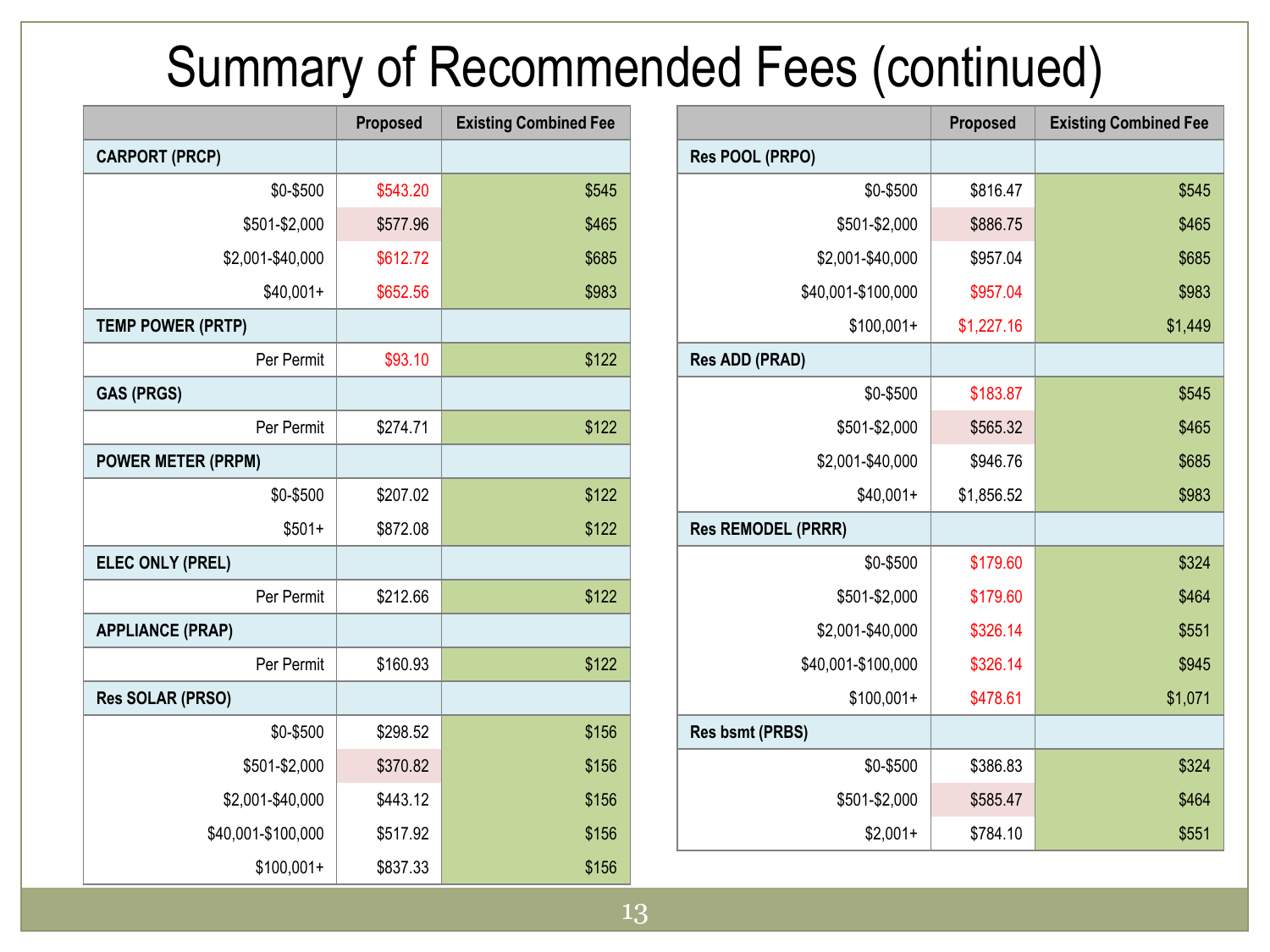### Summary of Recommended Fees (continued)

|                           | Proposed   | <b>Existing Combined Fee</b> |
|---------------------------|------------|------------------------------|
| Res POOL (PRPO)           |            |                              |
| \$0-\$500                 | \$816.47   | \$545                        |
| \$501-\$2,000             | \$886.75   | \$465                        |
| \$2,001-\$40,000          | \$957.04   | \$685                        |
| \$40,001-\$100,000        | \$957.04   | \$983                        |
| $$100,001+$               | \$1,227.16 | \$1,449                      |
| <b>Res ADD (PRAD)</b>     |            |                              |
| \$0-\$500                 | \$183.87   | \$545                        |
| \$501-\$2,000             | \$565.32   | \$465                        |
| \$2,001-\$40,000          | \$946.76   | \$685                        |
| $$40,001+$                | \$1,856.52 | \$983                        |
| <b>Res REMODEL (PRRR)</b> |            |                              |
| \$0-\$500                 | \$179.60   | \$324                        |
| \$501-\$2,000             | \$179.60   | \$464                        |
| \$2,001-\$40,000          | \$326.14   | \$551                        |
| \$40,001-\$100,000        | \$326.14   | \$945                        |
| $$100,001+$               | \$478.61   | \$1,071                      |
| <b>Res bsmt (PRBS)</b>    |            |                              |
| \$0-\$500                 | \$386.83   | \$324                        |
| \$501-\$2,000             | \$585.47   | \$464                        |
| $$2,001+$                 | \$784.10   | \$551                        |

|                           | Proposed | <b>Existing Combined Fee</b> |
|---------------------------|----------|------------------------------|
| <b>CARPORT (PRCP)</b>     |          |                              |
| \$0-\$500                 | \$543.20 | \$545                        |
| \$501-\$2,000             | \$577.96 | \$465                        |
| \$2,001-\$40,000          | \$612.72 | \$685                        |
| $$40,001+$                | \$652.56 | \$983                        |
| <b>TEMP POWER (PRTP)</b>  |          |                              |
| Per Permit                | \$93.10  | \$122                        |
| <b>GAS (PRGS)</b>         |          |                              |
| Per Permit                | \$274.71 | \$122                        |
| <b>POWER METER (PRPM)</b> |          |                              |
| \$0-\$500                 | \$207.02 | \$122                        |
| $$501+$                   | \$872.08 | \$122                        |
| ELEC ONLY (PREL)          |          |                              |
| Per Permit                | \$212.66 | \$122                        |
| <b>APPLIANCE (PRAP)</b>   |          |                              |
| Per Permit                | \$160.93 | \$122                        |
| Res SOLAR (PRSO)          |          |                              |
| \$0-\$500                 | \$298.52 | \$156                        |
| \$501-\$2,000             | \$370.82 | \$156                        |
| \$2,001-\$40,000          | \$443.12 | \$156                        |
| \$40,001-\$100,000        | \$517.92 | \$156                        |
| $$100,001+$               | \$837.33 | \$156                        |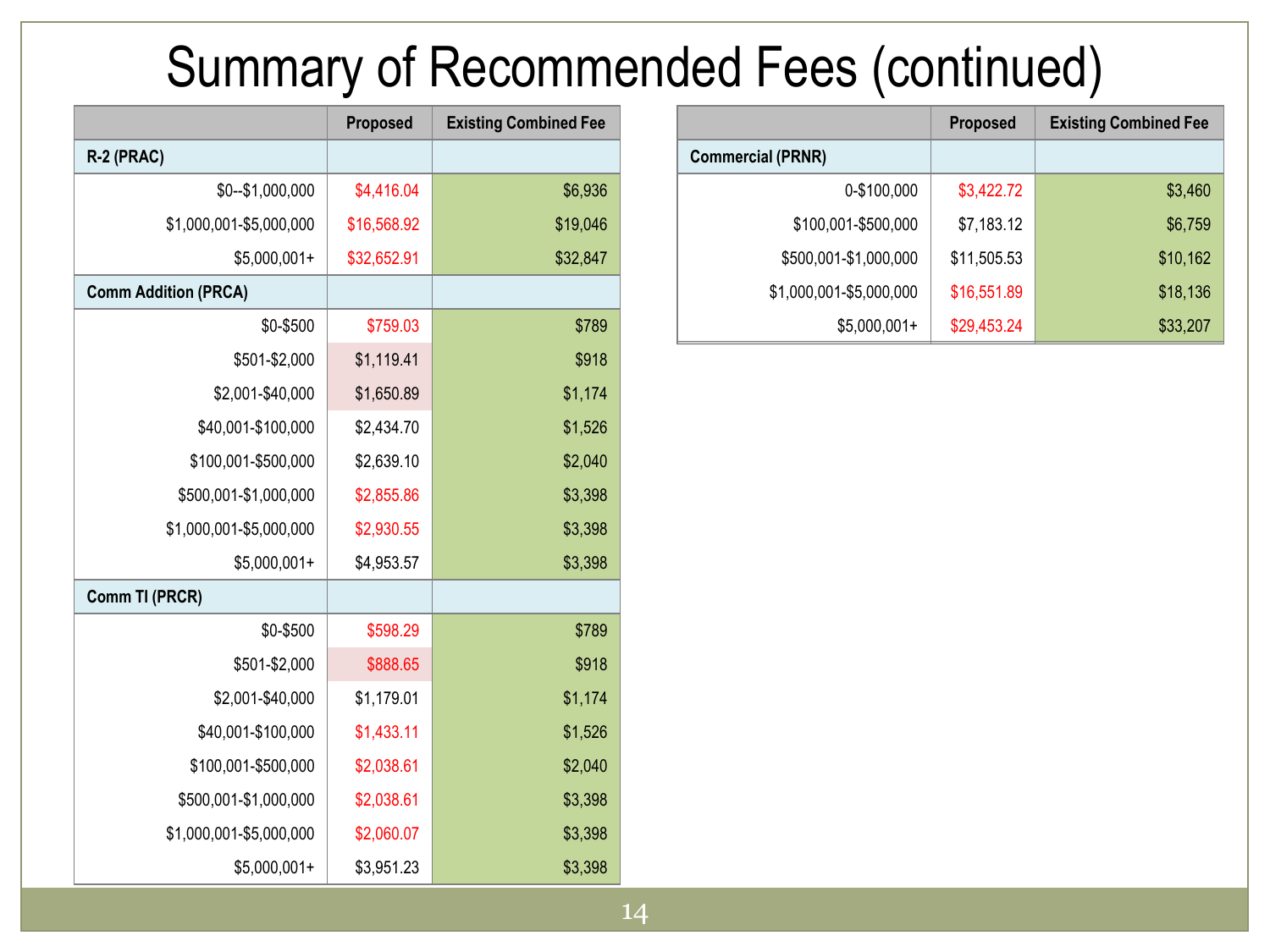### Summary of Recommended Fees (continued)

|                          | <b>Proposed</b> | <b>Existing Combined Fee</b> |
|--------------------------|-----------------|------------------------------|
| <b>Commercial (PRNR)</b> |                 |                              |
| 0-\$100,000              | \$3,422.72      | \$3,460                      |
| \$100,001-\$500,000      | \$7,183.12      | \$6,759                      |
| \$500,001-\$1,000,000    | \$11,505.53     | \$10,162                     |
| \$1,000,001-\$5,000,000  | \$16,551.89     | \$18,136                     |
| $$5,000,001+$            | \$29,453.24     | \$33,207                     |

|                             | <b>Proposed</b> | <b>Existing Combined Fee</b> |  |
|-----------------------------|-----------------|------------------------------|--|
| R-2 (PRAC)                  |                 |                              |  |
| \$0--\$1,000,000            | \$4,416.04      | \$6,936                      |  |
| \$1,000,001-\$5,000,000     | \$16,568.92     | \$19,046                     |  |
| $$5,000,001+$               | \$32,652.91     | \$32,847                     |  |
| <b>Comm Addition (PRCA)</b> |                 |                              |  |
| \$0-\$500                   | \$759.03        | \$789                        |  |
| \$501-\$2,000               | \$1,119.41      | \$918                        |  |
| \$2,001-\$40,000            | \$1,650.89      | \$1,174                      |  |
| \$40,001-\$100,000          | \$2,434.70      | \$1,526                      |  |
| \$100,001-\$500,000         | \$2,639.10      | \$2,040                      |  |
| \$500,001-\$1,000,000       | \$2,855.86      | \$3,398                      |  |
| \$1,000,001-\$5,000,000     | \$2,930.55      | \$3,398                      |  |
| $$5,000,001+$               | \$4,953.57      | \$3,398                      |  |
| Comm TI (PRCR)              |                 |                              |  |
| \$0-\$500                   | \$598.29        | \$789                        |  |
| \$501-\$2,000               | \$888.65        | \$918                        |  |
| \$2,001-\$40,000            | \$1,179.01      | \$1,174                      |  |
| \$40,001-\$100,000          | \$1,433.11      | \$1,526                      |  |
| \$100,001-\$500,000         | \$2,038.61      | \$2,040                      |  |
| \$500,001-\$1,000,000       | \$2,038.61      | \$3,398                      |  |
| \$1,000,001-\$5,000,000     | \$2,060.07      | \$3,398                      |  |
| $$5,000,001+$               | \$3,951.23      | \$3,398                      |  |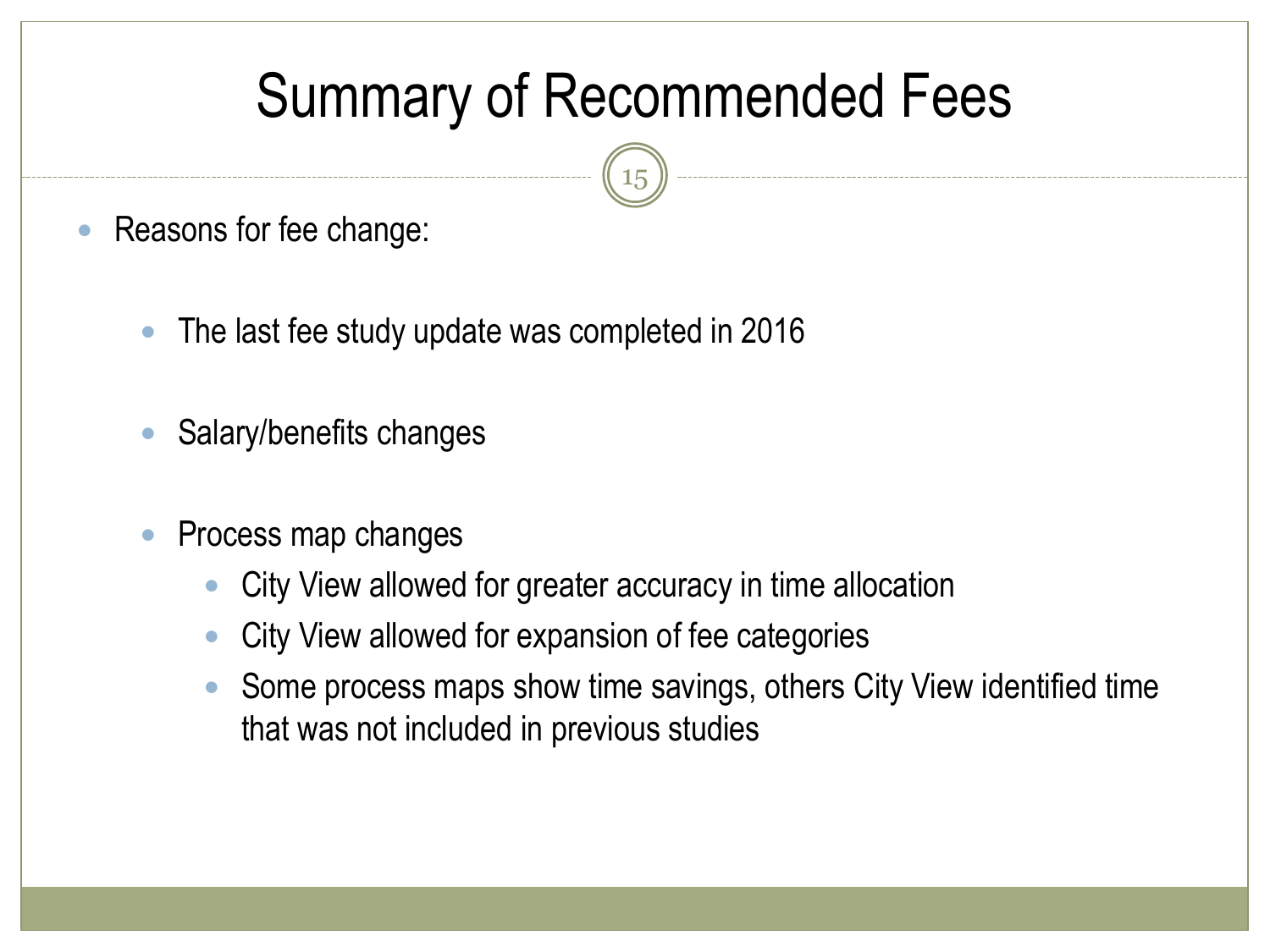# Summary of Recommended Fees

15

- Reasons for fee change:
	- The last fee study update was completed in 2016
	- Salary/benefits changes
	- Process map changes
		- City View allowed for greater accuracy in time allocation
		- City View allowed for expansion of fee categories
		- Some process maps show time savings, others City View identified time that was not included in previous studies